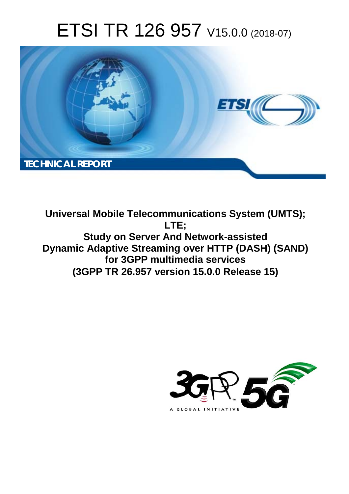# ETSI TR 126 957 V15.0.0 (2018-07)



**Universal Mobile Telecommunications System (UMTS); LTE; Study on Server And Network-assisted Dynamic Adaptive Streaming over HTTP (DASH) (SAND) for 3GPP multimedia services (3GPP TR 26.957 version 15.0.0 Release 15)** 

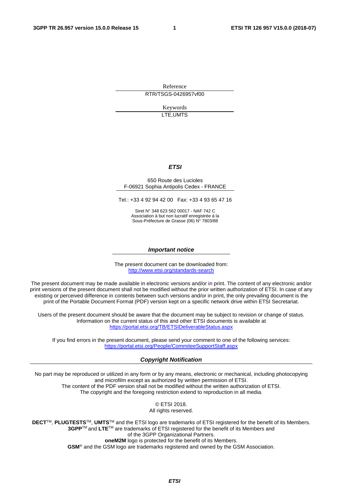Reference RTR/TSGS-0426957vf00

> Keywords LTE,UMTS

#### *ETSI*

#### 650 Route des Lucioles F-06921 Sophia Antipolis Cedex - FRANCE

Tel.: +33 4 92 94 42 00 Fax: +33 4 93 65 47 16

Siret N° 348 623 562 00017 - NAF 742 C Association à but non lucratif enregistrée à la Sous-Préfecture de Grasse (06) N° 7803/88

#### *Important notice*

The present document can be downloaded from: <http://www.etsi.org/standards-search>

The present document may be made available in electronic versions and/or in print. The content of any electronic and/or print versions of the present document shall not be modified without the prior written authorization of ETSI. In case of any existing or perceived difference in contents between such versions and/or in print, the only prevailing document is the print of the Portable Document Format (PDF) version kept on a specific network drive within ETSI Secretariat.

Users of the present document should be aware that the document may be subject to revision or change of status. Information on the current status of this and other ETSI documents is available at <https://portal.etsi.org/TB/ETSIDeliverableStatus.aspx>

If you find errors in the present document, please send your comment to one of the following services: <https://portal.etsi.org/People/CommiteeSupportStaff.aspx>

#### *Copyright Notification*

No part may be reproduced or utilized in any form or by any means, electronic or mechanical, including photocopying and microfilm except as authorized by written permission of ETSI. The content of the PDF version shall not be modified without the written authorization of ETSI. The copyright and the foregoing restriction extend to reproduction in all media.

> © ETSI 2018. All rights reserved.

**DECT**TM, **PLUGTESTS**TM, **UMTS**TM and the ETSI logo are trademarks of ETSI registered for the benefit of its Members. **3GPP**TM and **LTE**TM are trademarks of ETSI registered for the benefit of its Members and of the 3GPP Organizational Partners. **oneM2M** logo is protected for the benefit of its Members.

**GSM**® and the GSM logo are trademarks registered and owned by the GSM Association.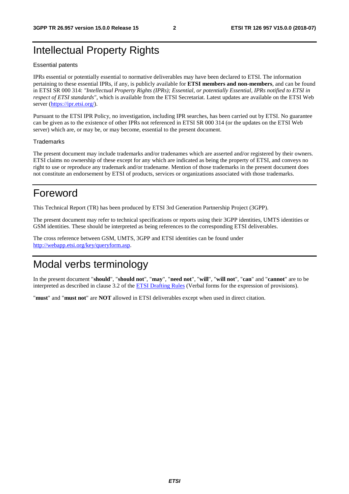### Intellectual Property Rights

#### Essential patents

IPRs essential or potentially essential to normative deliverables may have been declared to ETSI. The information pertaining to these essential IPRs, if any, is publicly available for **ETSI members and non-members**, and can be found in ETSI SR 000 314: *"Intellectual Property Rights (IPRs); Essential, or potentially Essential, IPRs notified to ETSI in respect of ETSI standards"*, which is available from the ETSI Secretariat. Latest updates are available on the ETSI Web server ([https://ipr.etsi.org/\)](https://ipr.etsi.org/).

Pursuant to the ETSI IPR Policy, no investigation, including IPR searches, has been carried out by ETSI. No guarantee can be given as to the existence of other IPRs not referenced in ETSI SR 000 314 (or the updates on the ETSI Web server) which are, or may be, or may become, essential to the present document.

#### **Trademarks**

The present document may include trademarks and/or tradenames which are asserted and/or registered by their owners. ETSI claims no ownership of these except for any which are indicated as being the property of ETSI, and conveys no right to use or reproduce any trademark and/or tradename. Mention of those trademarks in the present document does not constitute an endorsement by ETSI of products, services or organizations associated with those trademarks.

### Foreword

This Technical Report (TR) has been produced by ETSI 3rd Generation Partnership Project (3GPP).

The present document may refer to technical specifications or reports using their 3GPP identities, UMTS identities or GSM identities. These should be interpreted as being references to the corresponding ETSI deliverables.

The cross reference between GSM, UMTS, 3GPP and ETSI identities can be found under [http://webapp.etsi.org/key/queryform.asp.](http://webapp.etsi.org/key/queryform.asp)

### Modal verbs terminology

In the present document "**should**", "**should not**", "**may**", "**need not**", "**will**", "**will not**", "**can**" and "**cannot**" are to be interpreted as described in clause 3.2 of the [ETSI Drafting Rules](https://portal.etsi.org/Services/editHelp!/Howtostart/ETSIDraftingRules.aspx) (Verbal forms for the expression of provisions).

"**must**" and "**must not**" are **NOT** allowed in ETSI deliverables except when used in direct citation.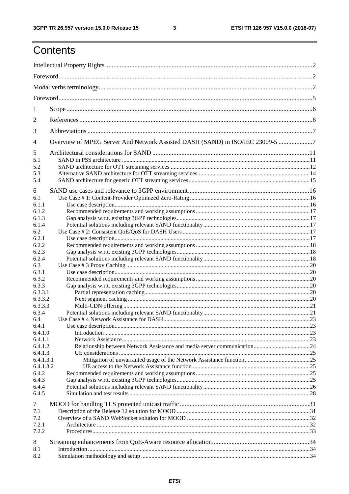$\mathbf{3}$ 

## Contents

| 1                             |                                                                               |  |  |
|-------------------------------|-------------------------------------------------------------------------------|--|--|
| 2                             |                                                                               |  |  |
| 3                             |                                                                               |  |  |
| $\overline{4}$                | Overview of MPEG Server And Network Assisted DASH (SAND) in ISO/IEC 23009-5 7 |  |  |
| 5<br>5.1<br>5.2<br>5.3<br>5.4 |                                                                               |  |  |
| 6                             |                                                                               |  |  |
| 6.1<br>6.1.1                  |                                                                               |  |  |
| 6.1.2<br>6.1.3                |                                                                               |  |  |
| 6.1.4<br>6.2                  |                                                                               |  |  |
| 6.2.1                         |                                                                               |  |  |
| 6.2.2                         |                                                                               |  |  |
| 6.2.3<br>6.2.4                |                                                                               |  |  |
| 6.3                           |                                                                               |  |  |
| 6.3.1                         |                                                                               |  |  |
| 6.3.2                         |                                                                               |  |  |
| 6.3.3                         |                                                                               |  |  |
| 6.3.3.1                       |                                                                               |  |  |
| 6.3.3.2                       |                                                                               |  |  |
| 6.3.3.3<br>6.3.4              |                                                                               |  |  |
| 6.4                           |                                                                               |  |  |
| 6.4.1                         |                                                                               |  |  |
| 6.4.1.0                       |                                                                               |  |  |
| 6.4.1.1                       |                                                                               |  |  |
| 6.4.1.2                       |                                                                               |  |  |
| 6.4.1.3                       |                                                                               |  |  |
| 6.4.1.3.1<br>6.4.1.3.2        |                                                                               |  |  |
| 6.4.2                         |                                                                               |  |  |
| 6.4.3                         |                                                                               |  |  |
| 6.4.4                         |                                                                               |  |  |
| 6.4.5                         |                                                                               |  |  |
| 7                             |                                                                               |  |  |
| 7.1                           |                                                                               |  |  |
| 7.2                           |                                                                               |  |  |
| 7.2.1                         |                                                                               |  |  |
| 7.2.2                         |                                                                               |  |  |
| 8                             |                                                                               |  |  |
| 8.1                           |                                                                               |  |  |
| 8.2                           |                                                                               |  |  |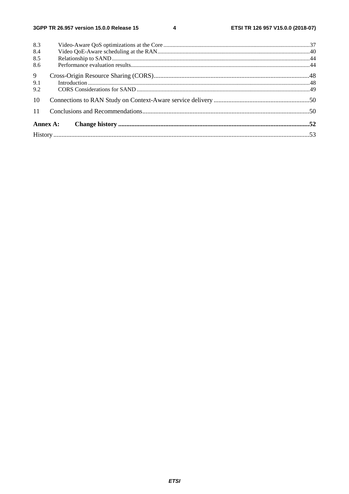$\overline{\mathbf{4}}$ 

| 8.3            |          |  |  |  |  |
|----------------|----------|--|--|--|--|
| 8.4            |          |  |  |  |  |
| 8.5            |          |  |  |  |  |
| 8.6            |          |  |  |  |  |
| $\overline{9}$ |          |  |  |  |  |
| 9.1            |          |  |  |  |  |
| 9.2            |          |  |  |  |  |
| 10             |          |  |  |  |  |
| 11             |          |  |  |  |  |
|                | Annex A: |  |  |  |  |
|                |          |  |  |  |  |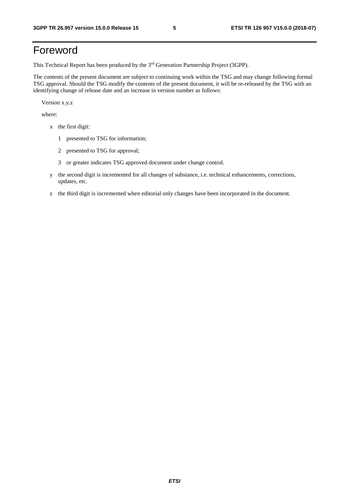## Foreword

This Technical Report has been produced by the 3rd Generation Partnership Project (3GPP).

The contents of the present document are subject to continuing work within the TSG and may change following formal TSG approval. Should the TSG modify the contents of the present document, it will be re-released by the TSG with an identifying change of release date and an increase in version number as follows:

Version x.y.z

where:

- x the first digit:
	- 1 presented to TSG for information;
	- 2 presented to TSG for approval;
	- 3 or greater indicates TSG approved document under change control.
- y the second digit is incremented for all changes of substance, i.e. technical enhancements, corrections, updates, etc.
- z the third digit is incremented when editorial only changes have been incorporated in the document.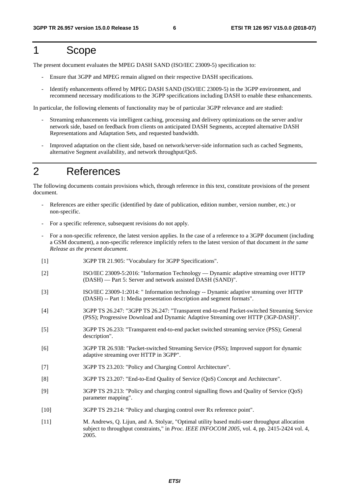## 1 Scope

The present document evaluates the MPEG DASH SAND (ISO/IEC 23009-5) specification to:

- Ensure that 3GPP and MPEG remain aligned on their respective DASH specifications.
- Identify enhancements offered by MPEG DASH SAND (ISO/IEC 23009-5) in the 3GPP environment, and recommend necessary modifications to the 3GPP specifications including DASH to enable these enhancements.

In particular, the following elements of functionality may be of particular 3GPP relevance and are studied:

- Streaming enhancements via intelligent caching, processing and delivery optimizations on the server and/or network side, based on feedback from clients on anticipated DASH Segments, accepted alternative DASH Representations and Adaptation Sets, and requested bandwidth.
- Improved adaptation on the client side, based on network/server-side information such as cached Segments, alternative Segment availability, and network throughput/QoS.

### 2 References

The following documents contain provisions which, through reference in this text, constitute provisions of the present document.

- References are either specific (identified by date of publication, edition number, version number, etc.) or non-specific.
- For a specific reference, subsequent revisions do not apply.
- For a non-specific reference, the latest version applies. In the case of a reference to a 3GPP document (including a GSM document), a non-specific reference implicitly refers to the latest version of that document *in the same Release as the present document*.
- [1] 3GPP TR 21.905: "Vocabulary for 3GPP Specifications".
- [2] ISO/IEC 23009-5:2016: "Information Technology Dynamic adaptive streaming over HTTP (DASH) — Part 5: Server and network assisted DASH (SAND)".
- [3] ISO/IEC 23009-1:2014: " Information technology -- Dynamic adaptive streaming over HTTP (DASH) -- Part 1: Media presentation description and segment formats".
- [4] 3GPP TS 26.247: "3GPP TS 26.247: "Transparent end-to-end Packet-switched Streaming Service (PSS); Progressive Download and Dynamic Adaptive Streaming over HTTP (3GP-DASH)".
- [5] 3GPP TS 26.233: "Transparent end-to-end packet switched streaming service (PSS); General description".
- [6] 3GPP TR 26.938: "Packet-switched Streaming Service (PSS); Improved support for dynamic adaptive streaming over HTTP in 3GPP".
- [7] 3GPP TS 23.203: "Policy and Charging Control Architecture".
- [8] 3GPP TS 23.207: "End-to-End Quality of Service (QoS) Concept and Architecture".
- [9] 3GPP TS 29.213: "Policy and charging control signalling flows and Quality of Service (QoS) parameter mapping".
- [10] 3GPP TS 29.214: "Policy and charging control over Rx reference point".
- [11] M. Andrews, Q. Lijun, and A. Stolyar, "Optimal utility based multi-user throughput allocation subject to throughput constraints," in *Proc. IEEE INFOCOM 2005*, vol. 4, pp. 2415-2424 vol. 4, 2005.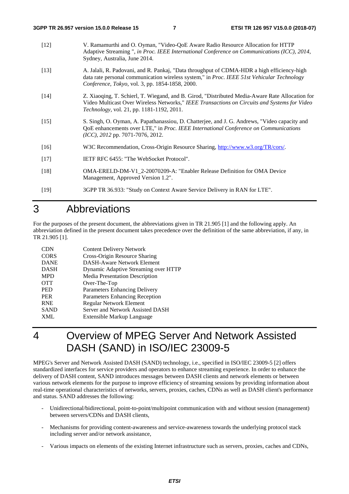- [12] V. Ramamurthi and O. Oyman, "Video-QoE Aware Radio Resource Allocation for HTTP Adaptive Streaming ", *in Proc. IEEE International Conference on Communications (ICC), 2014*, Sydney, Australia, June 2014. [13] A. Jalali, R. Padovani, and R. Pankaj, "Data throughput of CDMA-HDR a high efficiency-high data rate personal communication wireless system," in *Proc. IEEE 51st Vehicular Technology Conference, Tokyo*, vol. 3, pp. 1854-1858, 2000. [14] Z. Xiaoqing, T. Schierl, T. Wiegand, and B. Girod, "Distributed Media-Aware Rate Allocation for Video Multicast Over Wireless Networks," *IEEE Transactions on Circuits and Systems for Video Technology,* vol. 21, pp. 1181-1192, 2011.
- [15] S. Singh, O. Oyman, A. Papathanassiou, D. Chatterjee, and J. G. Andrews, "Video capacity and QoE enhancements over LTE," in *Proc. IEEE International Conference on Communications (ICC), 2012* pp. 7071-7076, 2012.
- [16] W3C Recommendation, Cross-Origin Resource Sharing, [http://www.w3.org/TR/cors/.](http://www.w3.org/TR/cors/)
- [17] IETF RFC 6455: "The WebSocket Protocol".
- [18] OMA-ERELD-DM-V1\_2-20070209-A: "Enabler Release Definition for OMA Device Management, Approved Version 1.2".

```
[19] 3GPP TR 36.933: "Study on Context Aware Service Delivery in RAN for LTE".
```
### 3 Abbreviations

For the purposes of the present document, the abbreviations given in TR 21.905 [1] and the following apply. An abbreviation defined in the present document takes precedence over the definition of the same abbreviation, if any, in TR 21.905 [1].

| <b>CDN</b>  | <b>Content Delivery Network</b>      |
|-------------|--------------------------------------|
| <b>CORS</b> | Cross-Origin Resource Sharing        |
| <b>DANE</b> | <b>DASH-Aware Network Element</b>    |
| <b>DASH</b> | Dynamic Adaptive Streaming over HTTP |
| <b>MPD</b>  | Media Presentation Description       |
| <b>OTT</b>  | Over-The-Top                         |
| <b>PED</b>  | Parameters Enhancing Delivery        |
| <b>PER</b>  | Parameters Enhancing Reception       |
| <b>RNE</b>  | Regular Network Element              |
| <b>SAND</b> | Server and Network Assisted DASH     |
| <b>XML</b>  | Extensible Markup Language           |
|             |                                      |

## 4 Overview of MPEG Server And Network Assisted DASH (SAND) in ISO/IEC 23009-5

MPEG's Server and Network Assisted DASH (SAND) technology, i.e., specified in ISO/IEC 23009-5 [2] offers standardized interfaces for service providers and operators to enhance streaming experience. In order to enhance the delivery of DASH content, SAND introduces messages between DASH clients and network elements or between various network elements for the purpose to improve efficiency of streaming sessions by providing information about real-time operational characteristics of networks, servers, proxies, caches, CDNs as well as DASH client's performance and status. SAND addresses the following:

- Unidirectional/bidirectional, point-to-point/multipoint communication with and without session (management) between servers/CDNs and DASH clients,
- Mechanisms for providing content-awareness and service-awareness towards the underlying protocol stack including server and/or network assistance,
- Various impacts on elements of the existing Internet infrastructure such as servers, proxies, caches and CDNs,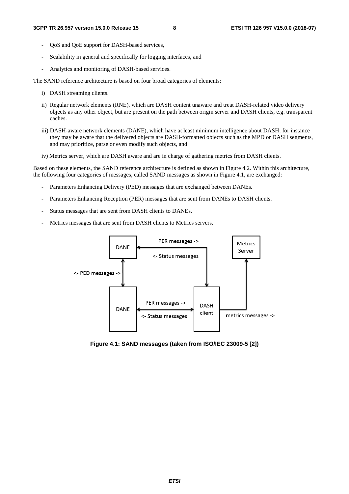- QoS and QoE support for DASH-based services,
- Scalability in general and specifically for logging interfaces, and
- Analytics and monitoring of DASH-based services.

The SAND reference architecture is based on four broad categories of elements:

- i) DASH streaming clients.
- ii) Regular network elements (RNE), which are DASH content unaware and treat DASH-related video delivery objects as any other object, but are present on the path between origin server and DASH clients, e.g. transparent caches.
- iii) DASH-aware network elements (DANE), which have at least minimum intelligence about DASH; for instance they may be aware that the delivered objects are DASH-formatted objects such as the MPD or DASH segments, and may prioritize, parse or even modify such objects, and
- iv) Metrics server, which are DASH aware and are in charge of gathering metrics from DASH clients.

Based on these elements, the SAND reference architecture is defined as shown in Figure 4.2. Within this architecture, the following four categories of messages, called SAND messages as shown in Figure 4.1, are exchanged:

- Parameters Enhancing Delivery (PED) messages that are exchanged between DANEs.
- Parameters Enhancing Reception (PER) messages that are sent from DANEs to DASH clients.
- Status messages that are sent from DASH clients to DANEs.
- Metrics messages that are sent from DASH clients to Metrics servers.



**Figure 4.1: SAND messages (taken from ISO/IEC 23009-5 [2])**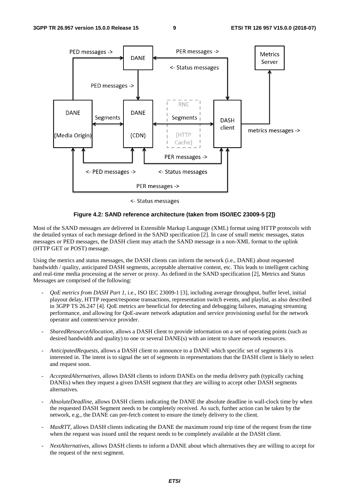

<- Status messages

#### **Figure 4.2: SAND reference architecture (taken from ISO/IEC 23009-5 [2])**

Most of the SAND messages are delivered in Extensible Markup Language (XML) format using HTTP protocols with the detailed syntax of each message defined in the SAND specification [2]. In case of small metric messages, status messages or PED messages, the DASH client may attach the SAND message in a non-XML format to the uplink (HTTP GET or POST) message.

Using the metrics and status messages, the DASH clients can inform the network (i.e., DANE) about requested bandwidth / quality, anticipated DASH segments, acceptable alternative content, etc. This leads to intelligent caching and real-time media processing at the server or proxy. As defined in the SAND specification [2], Metrics and Status Messages are comprised of the following:

- *QoE metrics from DASH Part 1*, i.e., ISO IEC 23009-1 [3], including average throughput, buffer level, initial playout delay, HTTP request/response transactions, representation switch events, and playlist, as also described in 3GPP TS 26.247 [4]. QoE metrics are beneficial for detecting and debugging failures, managing streaming performance, and allowing for QoE-aware network adaptation and service provisioning useful for the network operator and content/service provider.
- *SharedResourceAllocation*, allows a DASH client to provide information on a set of operating points (such as desired bandwidth and quality) to one or several DANE(s) with an intent to share network resources.
- *AnticipatedRequests*, allows a DASH client to announce to a DANE which specific set of segments it is interested in. The intent is to signal the set of segments in representations that the DASH client is likely to select and request soon.
- *AcceptedAlternatives*, allows DASH clients to inform DANEs on the media delivery path (typically caching DANEs) when they request a given DASH segment that they are willing to accept other DASH segments alternatives.
- *AbsoluteDeadline*, allows DASH clients indicating the DANE the absolute deadline in wall-clock time by when the requested DASH Segment needs to be completely received. As such, further action can be taken by the network, e.g., the DANE can pre-fetch content to ensure the timely delivery to the client.
- *MaxRTT*, allows DASH clients indicating the DANE the maximum round trip time of the request from the time when the request was issued until the request needs to be completely available at the DASH client.
- *NextAlternatives,* allows DASH clients to inform a DANE about which alternatives they are willing to accept for the request of the next segment.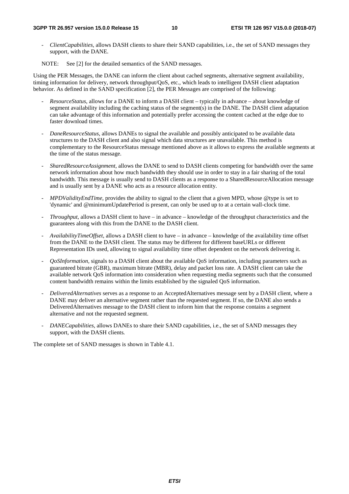#### **3GPP TR 26.957 version 15.0.0 Release 15 10 ETSI TR 126 957 V15.0.0 (2018-07)**

*- ClientCapabilities,* allows DASH clients to share their SAND capabilities, i.e., the set of SAND messages they support, with the DANE*.*

NOTE: See [2] for the detailed semantics of the SAND messages.

Using the PER Messages, the DANE can inform the client about cached segments, alternative segment availability, timing information for delivery, network throughput/QoS, etc., which leads to intelligent DASH client adaptation behavior. As defined in the SAND specification [2], the PER Messages are comprised of the following:

- *ResourceStatus*, allows for a DANE to inform a DASH client typically in advance about knowledge of segment availability including the caching status of the segment(s) in the DANE. The DASH client adaptation can take advantage of this information and potentially prefer accessing the content cached at the edge due to faster download times.
- *DaneResourceStatus*, allows DANEs to signal the available and possibly anticipated to be available data structures to the DASH client and also signal which data structures are unavailable. This method is complementary to the ResourceStatus message mentioned above as it allows to express the available segments at the time of the status message.
- *SharedResourceAssignment*, allows the DANE to send to DASH clients competing for bandwidth over the same network information about how much bandwidth they should use in order to stay in a fair sharing of the total bandwidth. This message is usually send to DASH clients as a response to a SharedResourceAllocation message and is usually sent by a DANE who acts as a resource allocation entity.
- *MPDValidityEndTime*, provides the ability to signal to the client that a given MPD, whose @type is set to 'dynamic' and @minimumUpdatePeriod is present, can only be used up to at a certain wall-clock time.
- *Throughput*, allows a DASH client to have in advance knowledge of the throughput characteristics and the guarantees along with this from the DANE to the DASH client.
- *AvailabilityTimeOffset*, allows a DASH client to have in advance knowledge of the availability time offset from the DANE to the DASH client. The status may be different for different baseURLs or different Representation IDs used, allowing to signal availability time offset dependent on the network delivering it.
- *QoSInformation*, signals to a DASH client about the available QoS information, including parameters such as guaranteed bitrate (GBR), maximum bitrate (MBR), delay and packet loss rate. A DASH client can take the available network QoS information into consideration when requesting media segments such that the consumed content bandwidth remains within the limits established by the signaled QoS information.
- *DeliveredAlternatives* serves as a response to an AcceptedAlternatives message sent by a DASH client, where a DANE may deliver an alternative segment rather than the requested segment. If so, the DANE also sends a DeliveredAlternatives message to the DASH client to inform him that the response contains a segment alternative and not the requested segment.
- *DANECapabilities*, allows DANEs to share their SAND capabilities, i.e., the set of SAND messages they support, with the DASH clients*.*

The complete set of SAND messages is shown in Table 4.1.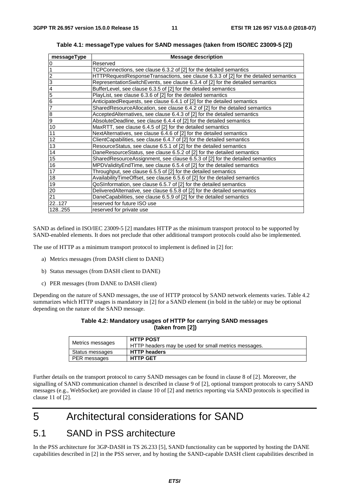| messageType                                                                         | <b>Message description</b>                                                          |
|-------------------------------------------------------------------------------------|-------------------------------------------------------------------------------------|
| $\frac{0}{1}$                                                                       | Reserved                                                                            |
|                                                                                     | TCPConnections, see clause 6.3.2 of [2] for the detailed semantics                  |
|                                                                                     | HTTPRequestResponseTransactions, see clause 6.3.3 of [2] for the detailed semantics |
|                                                                                     | RepresentationSwitchEvents, see clause 6.3.4 of [2] for the detailed semantics      |
|                                                                                     | BufferLevel, see clause 6.3.5 of [2] for the detailed semantics                     |
|                                                                                     | PlayList, see clause 6.3.6 of [2] for the detailed semantics                        |
|                                                                                     | Anticipated Requests, see clause 6.4.1 of [2] for the detailed semantics            |
| $\frac{2}{3}$ $\frac{3}{4}$ $\frac{5}{6}$ $\frac{6}{7}$ $\frac{7}{8}$ $\frac{8}{9}$ | SharedResourceAllocation, see clause 6.4.2 of [2] for the detailed semantics        |
|                                                                                     | AcceptedAlternatives, see clause 6.4.3 of [2] for the detailed semantics            |
|                                                                                     | AbsoluteDeadline, see clause 6.4.4 of [2] for the detailed semantics                |
| 10                                                                                  | MaxRTT, see clause 6.4.5 of [2] for the detailed semantics                          |
| $\overline{11}$                                                                     | NextAlternatives, see clause 6.4.6 of [2] for the detailed semantics                |
| 12                                                                                  | ClientCapabilities, see clause 6.4.7 of [2] for the detailed semantics              |
| 13                                                                                  | ResourceStatus, see clause 6.5.1 of [2] for the detailed semantics                  |
| 14                                                                                  | DaneResourceStatus, see clause 6.5.2 of [2] for the detailed semantics              |
| 15                                                                                  | SharedResourceAssignment, see clause 6.5.3 of [2] for the detailed semantics        |
| 16                                                                                  | MPDValidity End Time, see clause 6.5.4 of [2] for the detailed semantics            |
| 17                                                                                  | Throughput, see clause 6.5.5 of [2] for the detailed semantics                      |
| 18                                                                                  | Availability Time Offset, see clause 6.5.6 of [2] for the detailed semantics        |
| 19                                                                                  | QoSInformation, see clause 6.5.7 of [2] for the detailed semantics                  |
| 20                                                                                  | DeliveredAlternative, see clause 6.5.8 of [2] for the detailed semantics            |
| 21                                                                                  | DaneCapabilities, see clause 6.5.9 of [2] for the detailed semantics                |
| 22127                                                                               | reserved for future ISO use                                                         |
| 128255                                                                              | reserved for private use                                                            |

**Table 4.1: messageType values for SAND messages (taken from ISO/IEC 23009-5 [2])** 

SAND as defined in ISO/IEC 23009-5 [2] mandates HTTP as the minimum transport protocol to be supported by SAND-enabled elements. It does not preclude that other additional transport protocols could also be implemented.

The use of HTTP as a minimum transport protocol to implement is defined in [2] for:

- a) Metrics messages (from DASH client to DANE)
- b) Status messages (from DASH client to DANE)
- c) PER messages (from DANE to DASH client)

Depending on the nature of SAND messages, the use of HTTP protocol by SAND network elements varies. Table 4.2 summarizes which HTTP usages is mandatory in [2] for a SAND element (in bold in the table) or may be optional depending on the nature of the SAND message.

#### **Table 4.2: Mandatory usages of HTTP for carrying SAND messages (taken from [2])**

| Metrics messages | <b>HTTP POST</b><br>HTTP headers may be used for small metrics messages. |
|------------------|--------------------------------------------------------------------------|
| Status messages  | <b>HTTP headers</b>                                                      |
| PER messages     | <b>HTTP GET</b>                                                          |

Further details on the transport protocol to carry SAND messages can be found in clause 8 of [2]. Moreover, the signalling of SAND communication channel is described in clause 9 of [2], optional transport protocols to carry SAND messages (e.g., WebSocket) are provided in clause 10 of [2] and metrics reporting via SAND protocols is specified in clause 11 of [2].

## 5 Architectural considerations for SAND

### 5.1 SAND in PSS architecture

In the PSS architecture for 3GP-DASH in TS 26.233 [5], SAND functionality can be supported by hosting the DANE capabilities described in [2] in the PSS server, and by hosting the SAND-capable DASH client capabilities described in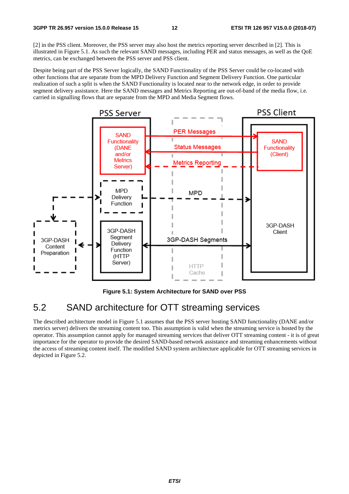[2] in the PSS client. Moreover, the PSS server may also host the metrics reporting server described in [2]. This is illustrated in Figure 5.1. As such the relevant SAND messages, including PER and status messages, as well as the QoE metrics, can be exchanged between the PSS server and PSS client.

Despite being part of the PSS Server logically, the SAND Functionality of the PSS Server could be co-located with other functions that are separate from the MPD Delivery Function and Segment Delivery Function. One particular realization of such a split is when the SAND Functionality is located near to the network edge, in order to provide segment delivery assistance. Here the SAND messages and Metrics Reporting are out-of-band of the media flow, i.e. carried in signalling flows that are separate from the MPD and Media Segment flows.



**Figure 5.1: System Architecture for SAND over PSS** 

### 5.2 SAND architecture for OTT streaming services

The described architecture model in Figure 5.1 assumes that the PSS server hosting SAND functionality (DANE and/or metrics server) delivers the streaming content too. This assumption is valid when the streaming service is hosted by the operator. This assumption cannot apply for managed streaming services that deliver OTT streaming content - it is of great importance for the operator to provide the desired SAND-based network assistance and streaming enhancements without the access of streaming content itself. The modified SAND system architecture applicable for OTT streaming services in depicted in Figure 5.2.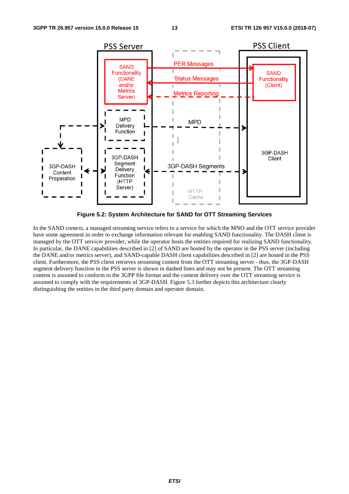

**Figure 5.2: System Architecture for SAND for OTT Streaming Services** 

In the SAND context, a managed streaming service refers to a service for which the MNO and the OTT service provider have some agreement in order to exchange information relevant for enabling SAND functionality. The DASH client is managed by the OTT servicer provider, while the operator hosts the entities required for realizing SAND functionality. In particular, the DANE capabilities described in [2] of SAND are hosted by the operator in the PSS server (including the DANE and/or metrics server), and SAND-capable DASH client capabilities described in [2] are hosted in the PSS client. Furthermore, the PSS client retrieves streaming content from the OTT streaming server - thus, the 3GP-DASH segment delivery function in the PSS server is shown in dashed lines and may not be present. The OTT streaming content is assumed to conform to the 3GPP file format and the content delivery over the OTT streaming service is assumed to comply with the requirements of 3GP-DASH. Figure 5.3 further depicts this architecture clearly distinguishing the entities in the third party domain and operator domain.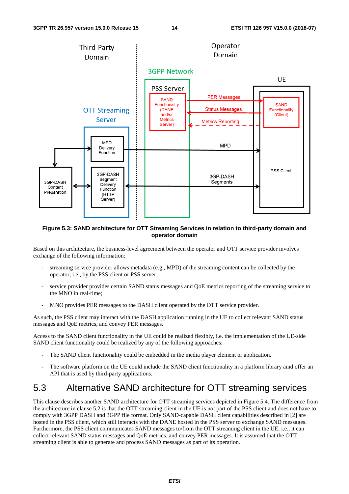

#### **Figure 5.3: SAND architecture for OTT Streaming Services in relation to third-party domain and operator domain**

Based on this architecture, the business-level agreement between the operator and OTT service provider involves exchange of the following information:

- streaming service provider allows metadata (e.g., MPD) of the streaming content can be collected by the operator, i.e., by the PSS client or PSS server;
- service provider provides certain SAND status messages and QoE metrics reporting of the streaming service to the MNO in real-time;
- MNO provides PER messages to the DASH client operated by the OTT service provider.

As such, the PSS client may interact with the DASH application running in the UE to collect relevant SAND status messages and QoE metrics, and convey PER messages.

Access to the SAND client functionality in the UE could be realized flexibly, i.e. the implementation of the UE-side SAND client functionality could be realized by any of the following approaches:

- The SAND client functionality could be embedded in the media player element or application.
- The software platform on the UE could include the SAND client functionality in a platform library amd offer an API that is used by third-party applications.

### 5.3 Alternative SAND architecture for OTT streaming services

This clause describes another SAND architecture for OTT streaming services depicted in Figure 5.4. The difference from the architecture in clause 5.2 is that the OTT streaming client in the UE is not part of the PSS client and does not have to comply with 3GPP DASH and 3GPP file format. Only SAND-capable DASH client capabilities described in [2] are hosted in the PSS client, which still interacts with the DANE hosted in the PSS server to exchange SAND messages. Furthermore, the PSS client communicates SAND messages to/from the OTT streaming client in the UE, i.e., it can collect relevant SAND status messages and QoE metrics, and convey PER messages. It is assumed that the OTT streaming client is able to generate and process SAND messages as part of its operation.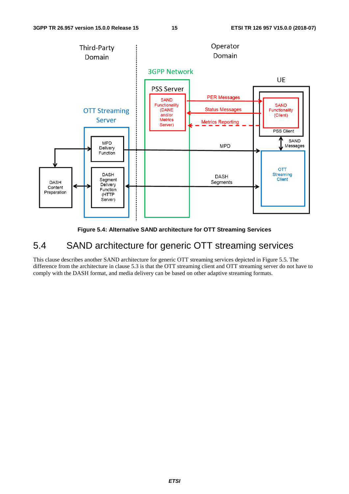

**Figure 5.4: Alternative SAND architecture for OTT Streaming Services** 

### 5.4 SAND architecture for generic OTT streaming services

This clause describes another SAND architecture for generic OTT streaming services depicted in Figure 5.5. The difference from the architecture in clause 5.3 is that the OTT streaming client and OTT streaming server do not have to comply with the DASH format, and media delivery can be based on other adaptive streaming formats.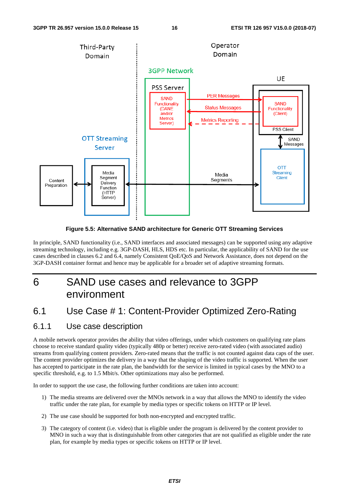

**Figure 5.5: Alternative SAND architecture for Generic OTT Streaming Services** 

In principle, SAND functionality (i.e., SAND interfaces and associated messages) can be supported using any adaptive streaming technology, including e.g. 3GP-DASH, HLS, HDS etc. In particular, the applicability of SAND for the use cases described in clauses 6.2 and 6.4, namely Consistent QoE/QoS and Network Assistance, does not depend on the 3GP-DASH container format and hence may be applicable for a broader set of adaptive streaming formats.

## 6 SAND use cases and relevance to 3GPP environment

### 6.1 Use Case # 1: Content-Provider Optimized Zero-Rating

### 6.1.1 Use case description

A mobile network operator provides the ability that video offerings, under which customers on qualifying rate plans choose to receive standard quality video (typically 480p or better) receive zero-rated video (with associated audio) streams from qualifying content providers. Zero-rated means that the traffic is not counted against data caps of the user. The content provider optimizes the delivery in a way that the shaping of the video traffic is supported. When the user has accepted to participate in the rate plan, the bandwidth for the service is limited in typical cases by the MNO to a specific threshold, e.g. to 1.5 Mbit/s. Other optimizations may also be performed.

In order to support the use case, the following further conditions are taken into account:

- 1) The media streams are delivered over the MNOs network in a way that allows the MNO to identify the video traffic under the rate plan, for example by media types or specific tokens on HTTP or IP level.
- 2) The use case should be supported for both non-encrypted and encrypted traffic.
- 3) The category of content (i.e. video) that is eligible under the program is delivered by the content provider to MNO in such a way that is distinguishable from other categories that are not qualified as eligible under the rate plan, for example by media types or specific tokens on HTTP or IP level.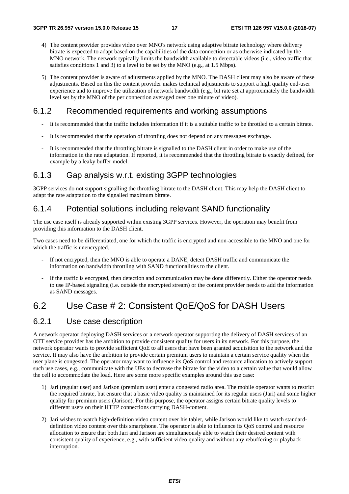- 4) The content provider provides video over MNO's network using adaptive bitrate technology where delivery bitrate is expected to adapt based on the capabilities of the data connection or as otherwise indicated by the MNO network. The network typically limits the bandwidth available to detectable videos (i.e., video traffic that satisfies conditions 1 and 3) to a level to be set by the MNO (e.g., at 1.5 Mbps).
- 5) The content provider is aware of adjustments applied by the MNO. The DASH client may also be aware of these adjustments. Based on this the content provider makes technical adjustments to support a high quality end-user experience and to improve the utilization of network bandwidth (e.g., bit rate set at approximately the bandwidth level set by the MNO of the per connection averaged over one minute of video).

#### 6.1.2 Recommended requirements and working assumptions

- It is recommended that the traffic includes information if it is a suitable traffic to be throttled to a certain bitrate.
- It is recommended that the operation of throttling does not depend on any messages exchange.
- It is recommended that the throttling bitrate is signalled to the DASH client in order to make use of the information in the rate adaptation. If reported, it is recommended that the throttling bitrate is exactly defined, for example by a leaky buffer model.

#### 6.1.3 Gap analysis w.r.t. existing 3GPP technologies

3GPP services do not support signalling the throttling bitrate to the DASH client. This may help the DASH client to adapt the rate adaptation to the signalled maximum bitrate.

### 6.1.4 Potential solutions including relevant SAND functionality

The use case itself is already supported within existing 3GPP services. However, the operation may benefit from providing this information to the DASH client.

Two cases need to be differentiated, one for which the traffic is encrypted and non-accessible to the MNO and one for which the traffic is unencrypted.

- If not encrypted, then the MNO is able to operate a DANE, detect DASH traffic and communicate the information on bandwidth throttling with SAND functionalities to the client.
- If the traffic is encrypted, then detection and communication may be done differently. Either the operator needs to use IP-based signaling (i.e. outside the encrypted stream) or the content provider needs to add the information as SAND messages.

### 6.2 Use Case # 2: Consistent QoE/QoS for DASH Users

#### 6.2.1 Use case description

A network operator deploying DASH services or a network operator supporting the delivery of DASH services of an OTT service provider has the ambition to provide consistent quality for users in its network. For this purpose, the network operator wants to provide sufficient QoE to all users that have been granted acquisition to the network and the service. It may also have the ambition to provide certain premium users to maintain a certain service quality when the user plane is congested. The operator may want to influence its QoS control and resource allocation to actively support such use cases, e.g., communicate with the UEs to decrease the bitrate for the video to a certain value that would allow the cell to accommodate the load. Here are some more specific examples around this use case:

- 1) Jari (regular user) and Jarison (premium user) enter a congested radio area. The mobile operator wants to restrict the required bitrate, but ensure that a basic video quality is maintained for its regular users (Jari) and some higher quality for premium users (Jarison). For this purpose, the operator assigns certain bitrate quality levels to different users on their HTTP connections carrying DASH-content.
- 2) Jari wishes to watch high-definition video content over his tablet, while Jarison would like to watch standarddefinition video content over this smartphone. The operator is able to influence its QoS control and resource allocation to ensure that both Jari and Jarison are simultaneously able to watch their desired content with consistent quality of experience, e.g., with sufficient video quality and without any rebuffering or playback interruption.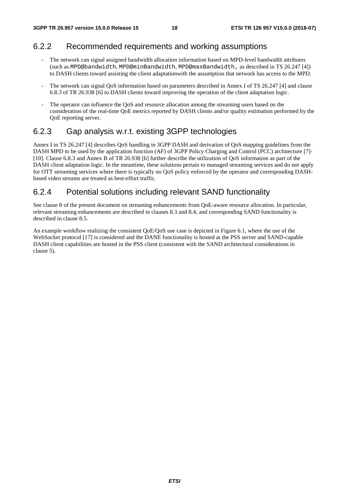### 6.2.2 Recommended requirements and working assumptions

- The network can signal assigned bandwidth allocation information based on MPD-level bandwidth attributes (such as MPD@bandwidth, MPD@minBandwidth, MPD@maxBandwidth, as described in TS 26.247 [4]) to DASH clients toward assisting the client adaptationwith the assumption that network has access to the MPD.
- The network can signal QoS information based on parameters described in Annex I of TS 26.247 [4] and clause 6.8.3 of TR 26.938 [6] to DASH clients toward improving the operation of the client adaptation logic.
- The operator can influence the QoS and resource allocation among the streaming users based on the consideration of the real-time QoE metrics reported by DASH clients and/or quality estimation performed by the QoE reporting server.

### 6.2.3 Gap analysis w.r.t. existing 3GPP technologies

Annex I in TS 26.247 [4] describes QoS handling in 3GPP DASH and derivation of QoS mapping guidelines from the DASH MPD to be used by the application function (AF) of 3GPP Policy Charging and Control (PCC) architecture [7]- [10]. Clause 6.8.3 and Annex B of TR 26.938 [6] further describe the utilization of QoS information as part of the DASH client adaptation logic. In the meantime, these solutions pertain to managed streaming services and do not apply for OTT streaming services where there is typically no QoS policy enforced by the operator and corresponding DASHbased video streams are treated as best-effort traffic.

### 6.2.4 Potential solutions including relevant SAND functionality

See clause 8 of the present document on streaming enhancements from QoE-aware resource allocation. In particular, relevant streaming enhancements are described in clauses 8.3 and 8.4, and corresponding SAND functionality is described in clause 8.5.

An example workflow realizing the consistent QoE/QoS use case is depicted in Figure 6.1, where the use of the WebSocket protocol [17] is considered and the DANE functionality is hosted at the PSS server and SAND-capable DASH client capabilities are hosted in the PSS client (consistent with the SAND architectural considerations in clause 5).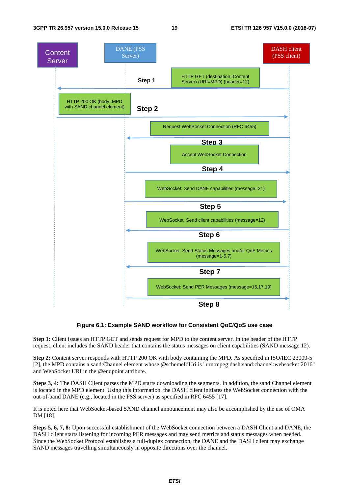

#### **Figure 6.1: Example SAND workflow for Consistent QoE/QoS use case**

**Step 1:** Client issues an HTTP GET and sends request for MPD to the content server. In the header of the HTTP request, client includes the SAND header that contains the status messages on client capabilities (SAND message 12).

**Step 2:** Content server responds with HTTP 200 OK with body containing the MPD. As specified in ISO/IEC 23009-5 [2], the MPD contains a sand:Channel element whose @schemeIdUri is "urn:mpeg:dash:sand:channel:websocket:2016" and WebSocket URI in the @endpoint attribute.

**Steps 3, 4:** The DASH Client parses the MPD starts downloading the segments. In addition, the sand:Channel element is located in the MPD element. Using this information, the DASH client initiates the WebSocket connection with the out-of-band DANE (e.g., located in the PSS server) as specified in RFC 6455 [17].

It is noted here that WebSocket-based SAND channel announcement may also be accomplished by the use of OMA DM [18].

**Steps 5, 6, 7, 8:** Upon successful establishment of the WebSocket connection between a DASH Client and DANE, the DASH client starts listening for incoming PER messages and may send metrics and status messages when needed. Since the WebSocket Protocol establishes a full-duplex connection, the DANE and the DASH client may exchange SAND messages travelling simultaneously in opposite directions over the channel.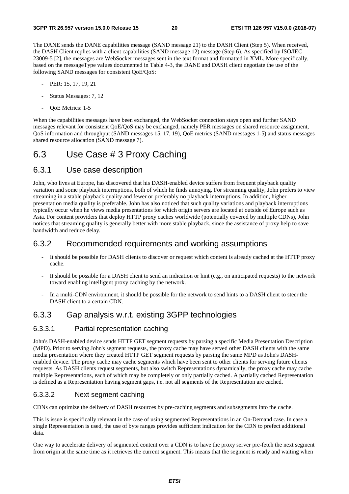The DANE sends the DANE capabilities message (SAND message 21) to the DASH Client (Step 5). When received, the DASH Client replies with a client capabilities (SAND message 12) message (Step 6). As specified by ISO/IEC 23009-5 [2], the messages are WebSocket messages sent in the text format and formatted in XML. More specifically, based on the messageType values documented in Table 4-3, the DANE and DASH client negotiate the use of the following SAND messages for consistent QoE/QoS:

- PER: 15, 17, 19, 21
- Status Messages: 7, 12
- OoE Metrics: 1-5

When the capabilities messages have been exchanged, the WebSocket connection stays open and further SAND messages relevant for consistent QoE/QoS may be exchanged, namely PER messages on shared resource assignment, QoS information and throughput (SAND messages 15, 17, 19), QoE metrics (SAND messages 1-5) and status messages shared resource allocation (SAND message 7).

### 6.3 Use Case # 3 Proxy Caching

#### 6.3.1 Use case description

John, who lives at Europe, has discovered that his DASH-enabled device suffers from frequent playback quality variation and some playback interruptions, both of which he finds annoying. For streaming quality, John prefers to view streaming in a stable playback quality and fewer or preferably no playback interruptions. In addition, higher presentation media quality is preferable. John has also noticed that such quality variations and playback interruptions typically occur when he views media presentations for which origin servers are located at outside of Europe such as Asia. For content providers that deploy HTTP proxy caches worldwide (potentially covered by multiple CDNs), John notices that streaming quality is generally better with more stable playback, since the assistance of proxy help to save bandwidth and reduce delay.

#### 6.3.2 Recommended requirements and working assumptions

- It should be possible for DASH clients to discover or request which content is already cached at the HTTP proxy cache.
- It should be possible for a DASH client to send an indication or hint (e.g., on anticipated requests) to the network toward enabling intelligent proxy caching by the network.
- In a multi-CDN environment, it should be possible for the network to send hints to a DASH client to steer the DASH client to a certain CDN.

#### 6.3.3 Gap analysis w.r.t. existing 3GPP technologies

#### 6.3.3.1 Partial representation caching

John's DASH-enabled device sends HTTP GET segment requests by parsing a specific Media Presentation Description (MPD). Prior to serving John's segment requests, the proxy cache may have served other DASH clients with the same media presentation where they created HTTP GET segment requests by parsing the same MPD as John's DASHenabled device. The proxy cache may cache segments which have been sent to other clients for serving future clients requests. As DASH clients request segments, but also switch Representations dynamically, the proxy cache may cache multiple Representations, each of which may be completely or only partially cached. A partially cached Representation is defined as a Representation having segment gaps, i.e. not all segments of the Representation are cached.

#### 6.3.3.2 Next segment caching

CDNs can optimize the delivery of DASH resources by pre-caching segments and subsegments into the cache.

This is issue is specifically relevant in the case of using segmented Representations in an On-Demand case. In case a single Representation is used, the use of byte ranges provides sufficient indication for the CDN to prefect additional data.

One way to accelerate delivery of segmented content over a CDN is to have the proxy server pre-fetch the next segment from origin at the same time as it retrieves the current segment. This means that the segment is ready and waiting when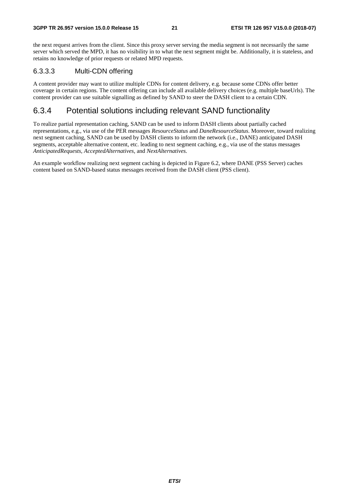the next request arrives from the client. Since this proxy server serving the media segment is not necessarily the same server which served the MPD, it has no visibility in to what the next segment might be. Additionally, it is stateless, and retains no knowledge of prior requests or related MPD requests.

#### 6.3.3.3 Multi-CDN offering

A content provider may want to utilize multiple CDNs for content delivery, e.g. because some CDNs offer better coverage in certain regions. The content offering can include all available delivery choices (e.g. multiple baseUrls). The content provider can use suitable signalling as defined by SAND to steer the DASH client to a certain CDN.

#### 6.3.4 Potential solutions including relevant SAND functionality

To realize partial representation caching, SAND can be used to inform DASH clients about partially cached representations, e.g., via use of the PER messages *ResourceStatus* and *DaneResourceStatus*. Moreover, toward realizing next segment caching, SAND can be used by DASH clients to inform the network (i.e., DANE) anticipated DASH segments, acceptable alternative content, etc. leading to next segment caching, e.g., via use of the status messages *AnticipatedRequests*, *AcceptedAlternatives*, and *NextAlternatives.*

An example workflow realizing next segment caching is depicted in Figure 6.2, where DANE (PSS Server) caches content based on SAND-based status messages received from the DASH client (PSS client).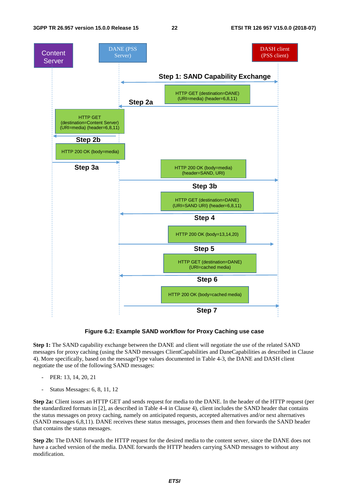

#### **Figure 6.2: Example SAND workflow for Proxy Caching use case**

**Step 1:** The SAND capability exchange between the DANE and client will negotiate the use of the related SAND messages for proxy caching (using the SAND messages ClientCapabilities and DaneCapabilities as described in Clause 4). More specifically, based on the messageType values documented in Table 4-3, the DANE and DASH client negotiate the use of the following SAND messages:

- PER: 13, 14, 20, 21
- Status Messages: 6, 8, 11, 12

**Step 2a:** Client issues an HTTP GET and sends request for media to the DANE. In the header of the HTTP request (per the standardized formats in [2], as described in Table 4-4 in Clause 4), client includes the SAND header that contains the status messages on proxy caching, namely on anticipated requests, accepted alternatives and/or next alternatives (SAND messages 6,8,11). DANE receives these status messages, processes them and then forwards the SAND header that contains the status messages.

**Step 2b:** The DANE forwards the HTTP request for the desired media to the content server, since the DANE does not have a cached version of the media. DANE forwards the HTTP headers carrying SAND messages to without any modification.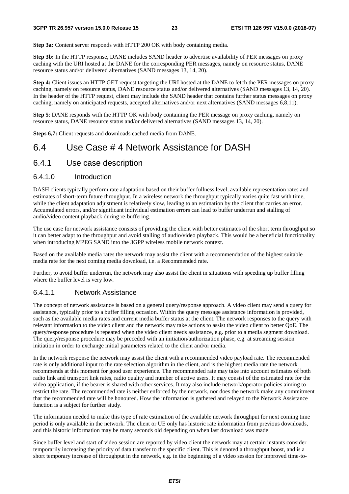**Step 3a:** Content server responds with HTTP 200 OK with body containing media.

**Step 3b:** In the HTTP response, DANE includes SAND header to advertise availability of PER messages on proxy caching with the URI hosted at the DANE for the corresponding PER messages, namely on resource status, DANE resource status and/or delivered alternatives (SAND messages 13, 14, 20).

**Step 4:** Client issues an HTTP GET request targeting the URI hosted at the DANE to fetch the PER messages on proxy caching, namely on resource status, DANE resource status and/or delivered alternatives (SAND messages 13, 14, 20). In the header of the HTTP request, client may include the SAND header that contains further status messages on proxy caching, namely on anticipated requests, accepted alternatives and/or next alternatives (SAND messages 6,8,11).

**Step 5**: DANE responds with the HTTP OK with body containing the PER message on proxy caching, namely on resource status, DANE resource status and/or delivered alternatives (SAND messages 13, 14, 20).

**Steps 6,7:** Client requests and downloads cached media from DANE.

### 6.4 Use Case # 4 Network Assistance for DASH

#### 6.4.1 Use case description

#### 6.4.1.0 Introduction

DASH clients typically perform rate adaptation based on their buffer fullness level, available representation rates and estimates of short-term future throughput. In a wireless network the throughput typically varies quite fast with time, while the client adaptation adjustment is relatively slow, leading to an estimation by the client that carries an error. Accumulated errors, and/or significant individual estimation errors can lead to buffer underrun and stalling of audio/video content playback during re-buffering.

The use case for network assistance consists of providing the client with better estimates of the short term throughput so it can better adapt to the throughput and avoid stalling of audio/video playback. This would be a beneficial functionality when introducing MPEG SAND into the 3GPP wireless mobile network context.

Based on the available media rates the network may assist the client with a recommendation of the highest suitable media rate for the next coming media download, i.e. a Recommended rate.

Further, to avoid buffer underrun, the network may also assist the client in situations with speeding up buffer filling where the buffer level is very low.

#### 6.4.1.1 Network Assistance

The concept of network assistance is based on a general query/response approach. A video client may send a query for assistance, typically prior to a buffer filling occasion. Within the query message assistance information is provided, such as the available media rates and current media buffer status at the client. The network responses to the query with relevant information to the video client and the network may take actions to assist the video client to better QoE. The query/response procedure is repeated when the video client needs assistance, e.g. prior to a media segment download. The query/response procedure may be preceded with an initiation/authorization phase, e.g. at streaming session initiation in order to exchange initial parameters related to the client and/or media.

In the network response the network may assist the client with a recommended video payload rate. The recommended rate is only additional input to the rate selection algorithm in the client, and is the highest media rate the network recommends at this moment for good user experience. The recommended rate may take into account estimates of both radio link and transport link rates, radio quality and number of active users. It may consist of the estimated rate for the video application, if the bearer is shared with other services. It may also include network/operator policies aiming to restrict the rate. The recommended rate is neither enforced by the network, nor does the network make any commitment that the recommended rate will be honoured. How the information is gathered and relayed to the Network Assistance function is a subject for further study.

The information needed to make this type of rate estimation of the available network throughput for next coming time period is only available in the network. The client or UE only has historic rate information from previous downloads, and this historic information may be many seconds old depending on when last download was made.

Since buffer level and start of video session are reported by video client the network may at certain instants consider temporarily increasing the priority of data transfer to the specific client. This is denoted a throughput boost, and is a short temporary increase of throughput in the network, e.g. in the beginning of a video session for improved time-to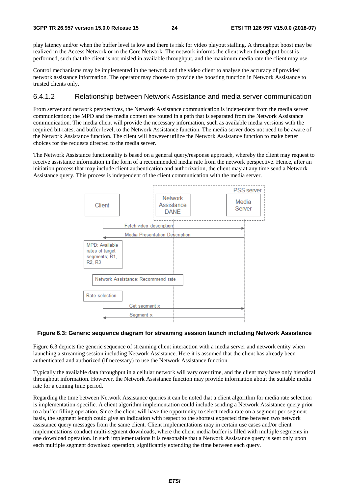play latency and/or when the buffer level is low and there is risk for video playout stalling. A throughput boost may be realized in the Access Network or in the Core Network. The network informs the client when throughput boost is performed, such that the client is not misled in available throughput, and the maximum media rate the client may use.

Control mechanisms may be implemented in the network and the video client to analyse the accuracy of provided network assistance information. The operator may choose to provide the boosting function in Network Assistance to trusted clients only.

#### 6.4.1.2 Relationship between Network Assistance and media server communication

From server and network perspectives, the Network Assistance communication is independent from the media server communication; the MPD and the media content are routed in a path that is separated from the Network Assistance communication. The media client will provide the necessary information, such as available media versions with the required bit-rates, and buffer level, to the Network Assistance function. The media server does not need to be aware of the Network Assistance function. The client will however utilize the Network Assistance function to make better choices for the requests directed to the media server.

The Network Assistance functionality is based on a general query/response approach, whereby the client may request to receive assistance information in the form of a recommended media rate from the network perspective. Hence, after an initiation process that may include client authentication and authorization, the client may at any time send a Network Assistance query. This process is independent of the client communication with the media server.



#### **Figure 6.3: Generic sequence diagram for streaming session launch including Network Assistance**

Figure 6.3 depicts the generic sequence of streaming client interaction with a media server and network entity when launching a streaming session including Network Assistance. Here it is assumed that the client has already been authenticated and authorized (if necessary) to use the Network Assistance function.

Typically the available data throughput in a cellular network will vary over time, and the client may have only historical throughput information. However, the Network Assistance function may provide information about the suitable media rate for a coming time period.

Regarding the time between Network Assistance queries it can be noted that a client algorithm for media rate selection is implementation-specific. A client algorithm implementation could include sending a Network Assistance query prior to a buffer filling operation. Since the client will have the opportunity to select media rate on a segment-per-segment basis, the segment length could give an indication with respect to the shortest expected time between two network assistance query messages from the same client. Client implementations may in certain use cases and/or client implementations conduct multi-segment downloads, where the client media buffer is filled with multiple segments in one download operation. In such implementations it is reasonable that a Network Assistance query is sent only upon each multiple segment download operation, significantly extending the time between each query.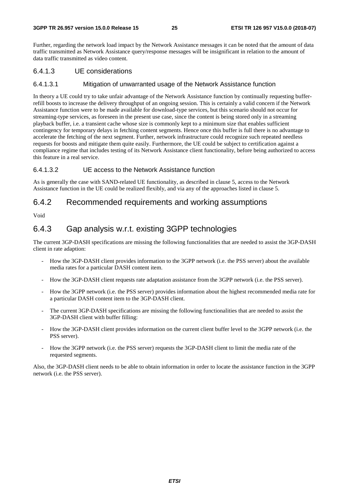Further, regarding the network load impact by the Network Assistance messages it can be noted that the amount of data traffic transmitted as Network Assistance query/response messages will be insignificant in relation to the amount of data traffic transmitted as video content.

#### 6.4.1.3 UE considerations

#### 6.4.1.3.1 Mitigation of unwarranted usage of the Network Assistance function

In theory a UE could try to take unfair advantage of the Network Assistance function by continually requesting bufferrefill boosts to increase the delivery throughput of an ongoing session. This is certainly a valid concern if the Network Assistance function were to be made available for download-type services, but this scenario should not occur for streaming-type services, as foreseen in the present use case, since the content is being stored only in a streaming playback buffer, i.e. a transient cache whose size is commonly kept to a minimum size that enables sufficient contingency for temporary delays in fetching content segments. Hence once this buffer is full there is no advantage to accelerate the fetching of the next segment. Further, network infrastructure could recognize such repeated needless requests for boosts and mitigate them quite easily. Furthermore, the UE could be subject to certification against a compliance regime that includes testing of its Network Assistance client functionality, before being authorized to access this feature in a real service.

#### 6.4.1.3.2 UE access to the Network Assistance function

As is generally the case with SAND-related UE functionality, as described in clause 5, access to the Network Assistance function in the UE could be realized flexibly, and via any of the approaches listed in clause 5.

### 6.4.2 Recommended requirements and working assumptions

Void

### 6.4.3 Gap analysis w.r.t. existing 3GPP technologies

The current 3GP-DASH specifications are missing the following functionalities that are needed to assist the 3GP-DASH client in rate adaption:

- How the 3GP-DASH client provides information to the 3GPP network (i.e. the PSS server) about the available media rates for a particular DASH content item.
- How the 3GP-DASH client requests rate adaptation assistance from the 3GPP network (i.e. the PSS server).
- How the 3GPP network (i.e. the PSS server) provides information about the highest recommended media rate for a particular DASH content item to the 3GP-DASH client.
- The current 3GP-DASH specifications are missing the following functionalities that are needed to assist the 3GP-DASH client with buffer filling:
- How the 3GP-DASH client provides information on the current client buffer level to the 3GPP network (i.e. the PSS server).
- How the 3GPP network (i.e. the PSS server) requests the 3GP-DASH client to limit the media rate of the requested segments.

Also, the 3GP-DASH client needs to be able to obtain information in order to locate the assistance function in the 3GPP network (i.e. the PSS server).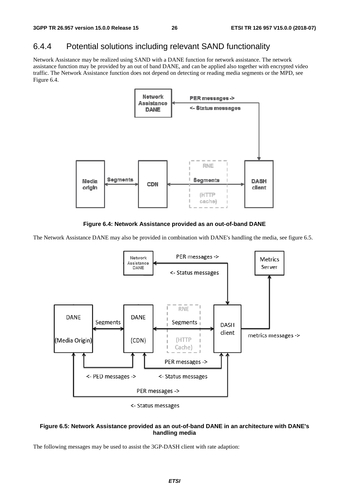### 6.4.4 Potential solutions including relevant SAND functionality

Network Assistance may be realized using SAND with a DANE function for network assistance. The network assistance function may be provided by an out of band DANE, and can be applied also together with encrypted video traffic. The Network Assistance function does not depend on detecting or reading media segments or the MPD, see Figure 6.4.



**Figure 6.4: Network Assistance provided as an out-of-band DANE** 

The Network Assistance DANE may also be provided in combination with DANE's handling the media, see figure 6.5.



<- Status messages

#### **Figure 6.5: Network Assistance provided as an out-of-band DANE in an architecture with DANE's handling media**

The following messages may be used to assist the 3GP-DASH client with rate adaption: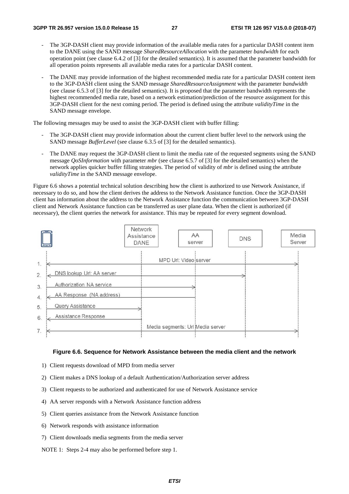- The 3GP-DASH client may provide information of the available media rates for a particular DASH content item to the DANE using the SAND message *SharedResourceAllocation* with the parameter *bandwidth* for each operation point (see clause 6.4.2 of [3] for the detailed semantics). It is assumed that the parameter bandwidth for all operation points represents all available media rates for a particular DASH content.
- The DANE may provide information of the highest recommended media rate for a particular DASH content item to the 3GP-DASH client using the SAND message *SharedResourceAssignment* with the parameter *bandwidth* (see clause 6.5.3 of [3] for the detailed semantics). It is proposed that the parameter bandwidth represents the highest recommended media rate, based on a network estimation/prediction of the resource assignment for this 3GP-DASH client for the next coming period. The period is defined using the attribute *validityTime* in the SAND message envelope.

The following messages may be used to assist the 3GP-DASH client with buffer filling:

- The 3GP-DASH client may provide information about the current client buffer level to the network using the SAND message *BufferLevel* (see clause 6.3.5 of [3] for the detailed semantics).
- The DANE may request the 3GP-DASH client to limit the media rate of the requested segments using the SAND message *QoSInformation* with parameter *mbr* (see clause 6.5.7 of [3] for the detailed semantics) when the network applies quicker buffer filling strategies. The period of validity of *mbr* is defined using the attribute *validityTime* in the SAND message envelope.

Figure 6.6 shows a potential technical solution describing how the client is authorized to use Network Assistance, if necessary to do so, and how the client derives the address to the Network Assistance function. Once the 3GP-DASH client has information about the address to the Network Assistance function the communication between 3GP-DASH client and Network Assistance function can be transferred as user plane data. When the client is authorized (if necessary), the client queries the network for assistance. This may be repeated for every segment download.



#### **Figure 6.6. Sequence for Network Assistance between the media client and the network**

- 1) Client requests download of MPD from media server
- 2) Client makes a DNS lookup of a default Authentication/Authorization server address
- 3) Client requests to be authorized and authenticated for use of Network Assistance service
- 4) AA server responds with a Network Assistance function address
- 5) Client queries assistance from the Network Assistance function
- 6) Network responds with assistance information
- 7) Client downloads media segments from the media server
- NOTE 1: Steps 2-4 may also be performed before step 1.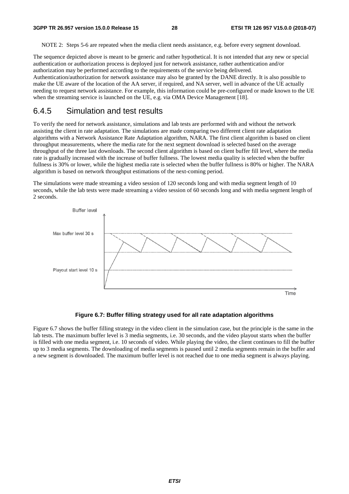NOTE 2: Steps 5-6 are repeated when the media client needs assistance, e.g. before every segment download.

The sequence depicted above is meant to be generic and rather hypothetical. It is not intended that any new or special authentication or authorization process is deployed just for network assistance, rather authentication and/or authorization may be performed according to the requirements of the service being delivered. Authentication/authorization for network assistance may also be granted by the DANE directly. It is also possible to make the UE aware of the location of the AA server, if required, and NA server, well in advance of the UE actually needing to request network assistance. For example, this information could be pre-configured or made known to the UE when the streaming service is launched on the UE, e.g. via OMA Device Management [18].

#### 6.4.5 Simulation and test results

To verify the need for network assistance, simulations and lab tests are performed with and without the network assisting the client in rate adaptation. The simulations are made comparing two different client rate adaptation algorithms with a Network Assistance Rate Adaptation algorithm, NARA. The first client algorithm is based on client throughput measurements, where the media rate for the next segment download is selected based on the average throughput of the three last downloads. The second client algorithm is based on client buffer fill level, where the media rate is gradually increased with the increase of buffer fullness. The lowest media quality is selected when the buffer fullness is 30% or lower, while the highest media rate is selected when the buffer fullness is 80% or higher. The NARA algorithm is based on network throughput estimations of the next-coming period.

The simulations were made streaming a video session of 120 seconds long and with media segment length of 10 seconds, while the lab tests were made streaming a video session of 60 seconds long and with media segment length of 2 seconds.



#### **Figure 6.7: Buffer filling strategy used for all rate adaptation algorithms**

Figure 6.7 shows the buffer filling strategy in the video client in the simulation case, but the principle is the same in the lab tests. The maximum buffer level is 3 media segments, i.e. 30 seconds, and the video playout starts when the buffer is filled with one media segment, i.e. 10 seconds of video. While playing the video, the client continues to fill the buffer up to 3 media segments. The downloading of media segments is paused until 2 media segments remain in the buffer and a new segment is downloaded. The maximum buffer level is not reached due to one media segment is always playing.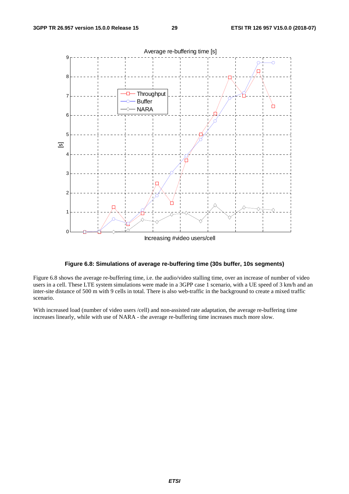



Figure 6.8 shows the average re-buffering time, i.e. the audio/video stalling time, over an increase of number of video users in a cell. These LTE system simulations were made in a 3GPP case 1 scenario, with a UE speed of 3 km/h and an inter-site distance of 500 m with 9 cells in total. There is also web-traffic in the background to create a mixed traffic scenario.

With increased load (number of video users /cell) and non-assisted rate adaptation, the average re-buffering time increases linearly, while with use of NARA - the average re-buffering time increases much more slow.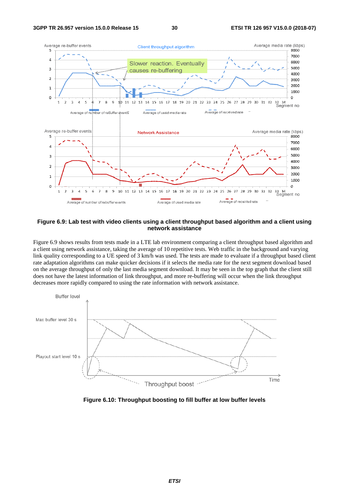

#### **Figure 6.9: Lab test with video clients using a client throughput based algorithm and a client using network assistance**

Figure 6.9 shows results from tests made in a LTE lab environment comparing a client throughput based algorithm and a client using network assistance, taking the average of 10 repetitive tests. Web traffic in the background and varying link quality corresponding to a UE speed of 3 km/h was used. The tests are made to evaluate if a throughput based client rate adaptation algorithms can make quicker decisions if it selects the media rate for the next segment download based on the average throughput of only the last media segment download. It may be seen in the top graph that the client still does not have the latest information of link throughput, and more re-buffering will occur when the link throughput decreases more rapidly compared to using the rate information with network assistance.



**Figure 6.10: Throughput boosting to fill buffer at low buffer levels**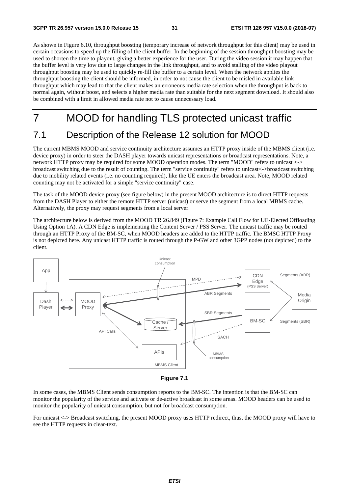As shown in Figure 6.10, throughput boosting (temporary increase of network throughput for this client) may be used in certain occasions to speed up the filling of the client buffer. In the beginning of the session throughput boosting may be used to shorten the time to playout, giving a better experience for the user. During the video session it may happen that the buffer level is very low due to large changes in the link throughput, and to avoid stalling of the video playout throughput boosting may be used to quickly re-fill the buffer to a certain level. When the network applies the throughput boosting the client should be informed, in order to not cause the client to be misled in available link throughput which may lead to that the client makes an erroneous media rate selection when the throughput is back to normal again, without boost, and selects a higher media rate than suitable for the next segment download. It should also be combined with a limit in allowed media rate not to cause unnecessary load.

# 7 MOOD for handling TLS protected unicast traffic

### 7.1 Description of the Release 12 solution for MOOD

The current MBMS MOOD and service continuity architecture assumes an HTTP proxy inside of the MBMS client (i.e. device proxy) in order to steer the DASH player towards unicast representations or broadcast representations. Note, a network HTTP proxy may be required for some MOOD operation modes. The term "MOOD" refers to unicast <-> broadcast switching due to the result of counting. The term "service continuity" refers to unicast<->broadcast switching due to mobility related events (i.e. no counting required), like the UE enters the broadcast area. Note, MOOD related counting may not be activated for a simple "service continuity" case.

The task of the MOOD device proxy (see figure below) in the present MOOD architecture is to direct HTTP requests from the DASH Player to either the remote HTTP server (unicast) or serve the segment from a local MBMS cache. Alternatively, the proxy may request segments from a local server.

The architecture below is derived from the MOOD TR 26.849 (Figure 7: Example Call Flow for UE-Elected Offloading Using Option 1A). A CDN Edge is implementing the Content Server / PSS Server. The unicast traffic may be routed through an HTTP Proxy of the BM-SC, when MOOD headers are added to the HTTP traffic. The BMSC HTTP Proxy is not depicted here. Any unicast HTTP traffic is routed through the P-GW and other 3GPP nodes (not depicted) to the client.



**Figure 7.1** 

In some cases, the MBMS Client sends consumption reports to the BM-SC. The intention is that the BM-SC can monitor the popularity of the service and activate or de-active broadcast in some areas. MOOD headers can be used to monitor the popularity of unicast consumption, but not for broadcast consumption.

For unicast <-> Broadcast switching, the present MOOD proxy uses HTTP redirect, thus, the MOOD proxy will have to see the HTTP requests in clear-text.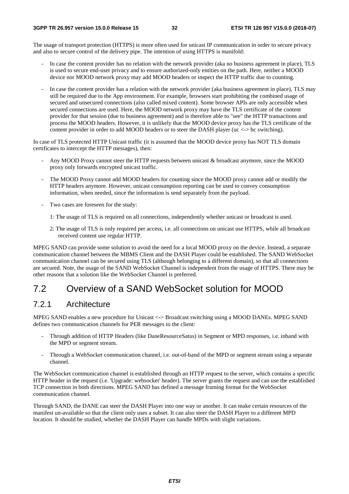The usage of transport protection (HTTPS) is more often used for unicast IP communication in order to secure privacy and also to secure control of the delivery pipe. The intention of using HTTPS is manifold:

- In case the content provider has no relation with the network provider (aka no business agreement in place), TLS is used to secure end-user privacy and to ensure authorized-only entities on the path. Here, neither a MOOD device nor MOOD network proxy may add MOOD headers or inspect the HTTP traffic due to counting.
- In case the content provider has a relation with the network provider (aka business agreement in place), TLS may still be required due to the App environment. For example, browsers start prohibiting the combined usage of secured and unsecured connections (also called mixed content). Some browser APIs are only accessible when secured connections are used. Here, the MOOD network proxy may have the TLS certificate of the content provider for that session (due to business agreement) and is therefore able to "see" the HTTP transactions and process the MOOD headers. However, it is unlikely that the MOOD device proxy has the TLS certificate of the content provider in order to add MOOD headers or to steer the DASH player (uc <-> bc switching).

In case of TLS protected HTTP Unicast traffic (it is assumed that the MOOD device proxy has NOT TLS domain certificates to intercept the HTTP messages), then:

- Any MOOD Proxy cannot steer the HTTP requests between unicast & broadcast anymore, since the MOOD proxy only forwards encrypted unicast traffic.
- The MOOD Proxy cannot add MOOD headers for counting since the MOOD proxy cannot add or modify the HTTP headers anymore. However, unicast consumption reporting can be used to convey consumption information, when needed, since the information is send separately from the payload.
- Two cases are foreseen for the study:
	- 1: The usage of TLS is required on all connections, independently whether unicast or broadcast is used.
	- 2: The usage of TLS is only required per access, i.e. all connections on unicast use HTTPS, while all broadcast received content use regular HTTP.

MPEG SAND can provide some solution to avoid the need for a local MOOD proxy on the device. Instead, a separate communication channel between the MBMS Client and the DASH Player could be established. The SAND WebSocket communication channel can be secured using TLS (although belonging to a different domain), so that all connections are secured. Note, the usage of the SAND WebSocket Channel is independent from the usage of HTTPS. There may be other reasons that a solution like the WebSocket Channel is preferred.

### 7.2 Overview of a SAND WebSocket solution for MOOD

#### 7.2.1 Architecture

MPEG SAND enables a new procedure for Unicast <-> Broadcast switching using a MOOD DANEs. MPEG SAND defines two communication channels for PER messages to the client:

- Through addition of HTTP Headers (like DaneResourceSatus) in Segment or MPD responses, i.e. inband with the MPD or segment stream.
- Through a WebSocket communication channel, i.e. out-of-band of the MPD or segment stream using a separate channel.

The WebSocket communication channel is established through an HTTP request to the server, which contains a specific HTTP header in the request (i.e. 'Upgrade: websocket' header). The server grants the request and can use the established TCP connection in both directions. MPEG SAND has defined a message framing format for the WebSocket communication channel.

Through SAND, the DANE can steer the DASH Player into one way or another. It can make certain resources of the manifest un-available so that the client only uses a subset. It can also steer the DASH Player to a different MPD location. It should be studied, whether the DASH Player can handle MPDs with slight variations.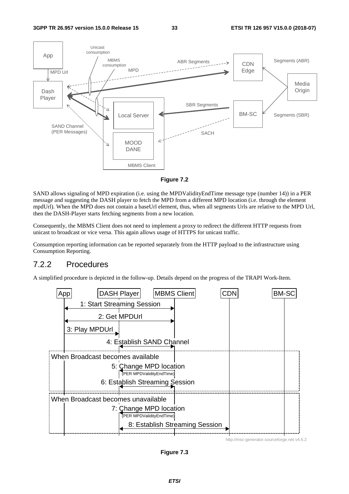

**Figure 7.2** 

SAND allows signaling of MPD expiration (i.e. using the MPDValidityEndTime message type (number 14)) in a PER message and suggesting the DASH player to fetch the MPD from a different MPD location (i.e. through the element mpdUrl). When the MPD does not contain a baseUrl element, thus, when all segments Urls are relative to the MPD Url, then the DASH-Player starts fetching segments from a new location.

Consequently, the MBMS Client does not need to implement a proxy to redirect the different HTTP requests from unicast to broadcast or vice versa. This again allows usage of HTTPS for unicast traffic.

Consumption reporting information can be reported separately from the HTTP payload to the infrastructure using Consumption Reporting.

### 7.2.2 Procedures

A simplified procedure is depicted in the follow-up. Details depend on the progress of the TRAPI Work-Item.



**Figure 7.3**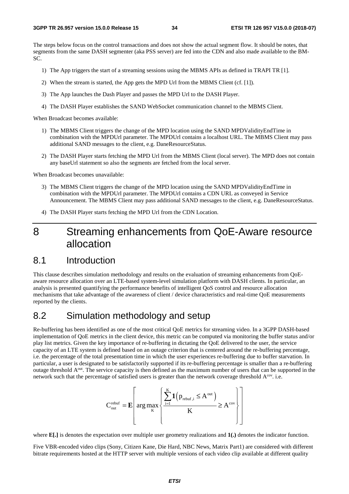The steps below focus on the control transactions and does not show the actual segment flow. It should be notes, that segments from the same DASH segmenter (aka PSS server) are fed into the CDN and also made available to the BM-SC.

- 1) The App triggers the start of a streaming sessions using the MBMS APIs as defined in TRAPI TR [1].
- 2) When the stream is started, the App gets the MPD Url from the MBMS Client (cf. [1]).
- 3) The App launches the Dash Player and passes the MPD Url to the DASH Player.
- 4) The DASH Player establishes the SAND WebSocket communication channel to the MBMS Client.

When Broadcast becomes available:

- 1) The MBMS Client triggers the change of the MPD location using the SAND MPDValidityEndTime in combination with the MPDUrl parameter. The MPDUrl contains a localhost URL. The MBMS Client may pass additional SAND messages to the client, e.g. DaneResourceStatus.
- 2) The DASH Player starts fetching the MPD Url from the MBMS Client (local server). The MPD does not contain any baseUrl statement so also the segments are fetched from the local server.

When Broadcast becomes unavailable:

- 3) The MBMS Client triggers the change of the MPD location using the SAND MPDValidityEndTime in combination with the MPDUrl parameter. The MPDUrl contains a CDN URL as conveyed in Service Announcement. The MBMS Client may pass additional SAND messages to the client, e.g. DaneResourceStatus.
- 4) The DASH Player starts fetching the MPD Url from the CDN Location.

### 8 Streaming enhancements from QoE-Aware resource allocation

### 8.1 Introduction

This clause describes simulation methodology and results on the evaluation of streaming enhancements from QoEaware resource allocation over an LTE-based system-level simulation platform with DASH clients. In particular, an analysis is presented quantifying the performance benefits of intelligent QoS control and resource allocation mechanisms that take advantage of the awareness of client / device characteristics and real-time QoE measurements reported by the clients.

### 8.2 Simulation methodology and setup

Re-buffering has been identified as one of the most critical QoE metrics for streaming video. In a 3GPP DASH-based implementation of QoE metrics in the client device, this metric can be computed via monitoring the buffer status and/or play list metrics. Given the key importance of re-buffering in dictating the QoE delivered to the user, the service capacity of an LTE system is defined based on an outage criterion that is centered around the re-buffering percentage, i.e. the percentage of the total presentation time in which the user experiences re-buffering due to buffer starvation. In particular, a user is designated to be satisfactorily supported if its re-buffering percentage is smaller than a re-buffering outage threshold  $A<sup>out</sup>$ . The service capacity is then defined as the maximum number of users that can be supported in the network such that the percentage of satisfied users is greater than the network coverage threshold  $A^{cov}$ . i.e.

$$
C_{out}^{rebut} = E\left[ arg \max_{K} \left\{ \frac{\sum_{i=1}^{K} 1\left(p_{rebuf,i} \le A^{out}\right)}{K} \ge A^{cov} \right\} \right]
$$

where **E[.]** is denotes the expectation over multiple user geometry realizations and **1(.)** denotes the indicator function.

Five VBR-encoded video clips (Sony, Citizen Kane, Die Hard, NBC News, Matrix Part1) are considered with different bitrate requirements hosted at the HTTP server with multiple versions of each video clip available at different quality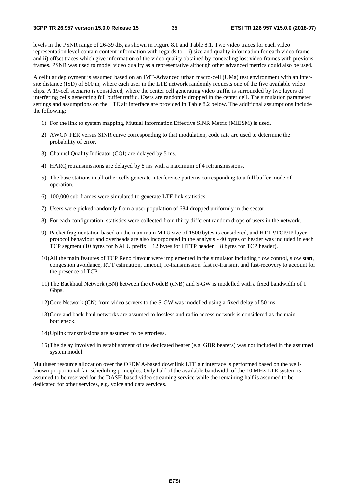levels in the PSNR range of 26-39 dB, as shown in Figure 8.1 and Table 8.1. Two video traces for each video representation level contain content information with regards to  $-i$ ) size and quality information for each video frame and ii) offset traces which give information of the video quality obtained by concealing lost video frames with previous frames. PSNR was used to model video quality as a representative although other advanced metrics could also be used.

A cellular deployment is assumed based on an IMT-Advanced urban macro-cell (UMa) test environment with an intersite distance (ISD) of 500 m, where each user in the LTE network randomly requests one of the five available video clips. A 19-cell scenario is considered, where the center cell generating video traffic is surrounded by two layers of interfering cells generating full buffer traffic. Users are randomly dropped in the center cell. The simulation parameter settings and assumptions on the LTE air interface are provided in Table 8.2 below. The additional assumptions include the following:

- 1) For the link to system mapping, Mutual Information Effective SINR Metric (MIESM) is used.
- 2) AWGN PER versus SINR curve corresponding to that modulation, code rate are used to determine the probability of error.
- 3) Channel Quality Indicator (CQI) are delayed by 5 ms.
- 4) HARQ retransmissions are delayed by 8 ms with a maximum of 4 retransmissions.
- 5) The base stations in all other cells generate interference patterns corresponding to a full buffer mode of operation.
- 6) 100,000 sub-frames were simulated to generate LTE link statistics.
- 7) Users were picked randomly from a user population of 684 dropped uniformly in the sector.
- 8) For each configuration, statistics were collected from thirty different random drops of users in the network.
- 9) Packet fragmentation based on the maximum MTU size of 1500 bytes is considered, and HTTP/TCP/IP layer protocol behaviour and overheads are also incorporated in the analysis - 40 bytes of header was included in each TCP segment (10 bytes for NALU prefix  $+ 12$  bytes for HTTP header  $+ 8$  bytes for TCP header).
- 10) All the main features of TCP Reno flavour were implemented in the simulator including flow control, slow start, congestion avoidance, RTT estimation, timeout, re-transmission, fast re-transmit and fast-recovery to account for the presence of TCP.
- 11) The Backhaul Network (BN) between the eNodeB (eNB) and S-GW is modelled with a fixed bandwidth of 1 Gbps.
- 12) Core Network (CN) from video servers to the S-GW was modelled using a fixed delay of 50 ms.
- 13) Core and back-haul networks are assumed to lossless and radio access network is considered as the main bottleneck.
- 14) Uplink transmissions are assumed to be errorless.
- 15) The delay involved in establishment of the dedicated bearer (e.g. GBR bearers) was not included in the assumed system model.

Multiuser resource allocation over the OFDMA-based downlink LTE air interface is performed based on the wellknown proportional fair scheduling principles. Only half of the available bandwidth of the 10 MHz LTE system is assumed to be reserved for the DASH-based video streaming service while the remaining half is assumed to be dedicated for other services, e.g. voice and data services.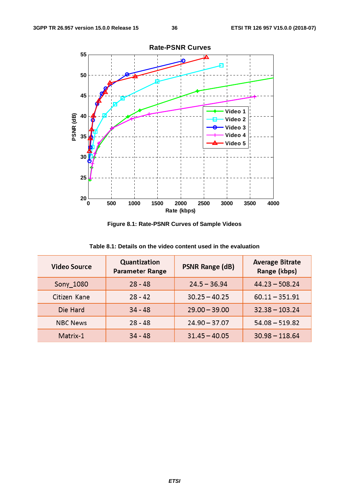

**Figure 8.1: Rate-PSNR Curves of Sample Videos** 

| <b>Video Source</b> | Quantization<br><b>Parameter Range</b> | <b>Average Bitrate</b><br>Range (kbps) |                  |  |
|---------------------|----------------------------------------|----------------------------------------|------------------|--|
| Sony_1080           | $28 - 48$                              | $24.5 - 36.94$                         | $44.23 - 508.24$ |  |
| Citizen Kane        | $28 - 42$                              | $30.25 - 40.25$                        | $60.11 - 351.91$ |  |
| Die Hard            | $34 - 48$                              | $29.00 - 39.00$                        | $32.38 - 103.24$ |  |
| <b>NBC News</b>     | $28 - 48$                              | $24.90 - 37.07$                        | $54.08 - 519.82$ |  |
| Matrix-1            | $34 - 48$                              | $31.45 - 40.05$                        | $30.98 - 118.64$ |  |

**Table 8.1: Details on the video content used in the evaluation**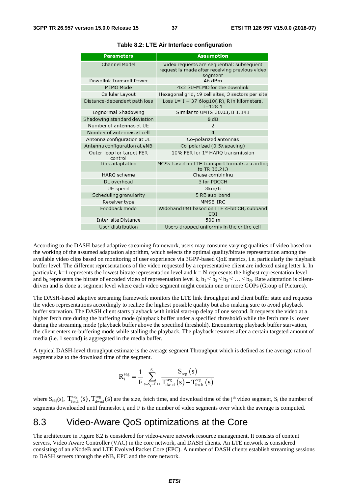| <b>Parameters</b>                    | <b>Assumption</b>                                                                                      |
|--------------------------------------|--------------------------------------------------------------------------------------------------------|
| Channel Model                        | Video requests are sequential: subsequent<br>request is made after receiving previous video<br>segment |
| Downlink Transmit Power              | 46 dBm                                                                                                 |
| MIMO Mode                            | 4x2 SU-MIMO for the downlink                                                                           |
| Cellular Layout                      | Hexagonal grid, 19 cell sites, 3 sectors per site                                                      |
| Distance-dependent path loss         | Loss L= $I + 37.6$ log10(.R), R in kilometers,<br>$I = 128.1$                                          |
| Lognormal Shadowing                  | Similar to UMTS 30.03, B 1.141                                                                         |
| Shadowing standard deviation         | 8 dB                                                                                                   |
| Number of antennas at UE             | $\overline{2}$                                                                                         |
| Number of antennas at cell           | $\overline{4}$                                                                                         |
| Antenna configuration at UE          | Co-polarized antennas                                                                                  |
| Antenna configuration at eNB         | Co-polarized (0.5) spacing)                                                                            |
| Outer-loop for target FER<br>control | 10% FER for 1st HARQ transmission                                                                      |
| Link adaptation                      | MCSs based on LTE transport formats according<br>to TR 36.213                                          |
| HARQ scheme                          | Chase combining                                                                                        |
| DI overhead                          | 3 for PDCCH                                                                                            |
| UE speed                             | 3km/h                                                                                                  |
| Scheduling granularity               | 5 RB sub-band                                                                                          |
| Receiver type                        | MMSF-IRC                                                                                               |
| Feedback mode                        | Wideband PMI based on LTE 4-bit CB, subband<br>COI                                                     |
| Inter-site Distance                  | 500 m                                                                                                  |
| User distribution                    | Users dropped uniformly in the entire cell                                                             |

**Table 8.2: LTE Air Interface configuration** 

According to the DASH-based adaptive streaming framework, users may consume varying qualities of video based on the working of the assumed adaptation algorithm, which selects the optimal quality/bitrate representation among the available video clips based on monitoring of user experience via 3GPP-based QoE metrics, i.e. particularly the playback buffer level. The different representations of the video requested by a representative client are indexed using letter k. In particular,  $k=1$  represents the lowest bitrate representation level and  $k = N$  represents the highest representation level and  $b_k$  represents the bitrate of encoded video of representation level k,  $b_1 \leq b_2 \leq b_3 \leq ... \leq b_N$ . Rate adaptation is clientdriven and is done at segment level where each video segment might contain one or more GOPs (Group of Pictures).

The DASH-based adaptive streaming framework monitors the LTE link throughput and client buffer state and requests the video representations accordingly to realize the highest possible quality but also making sure to avoid playback buffer starvation. The DASH client starts playback with initial start-up delay of one second. It requests the video at a higher fetch rate during the buffering mode (playback buffer under a specified threshold) while the fetch rate is lower during the streaming mode (playback buffer above the specified threshold). Encountering playback buffer starvation, the client enters re-buffering mode while stalling the playback. The playback resumes after a certain targeted amount of media (i.e. 1 second) is aggregated in the media buffer.

A typical DASH-level throughput estimate is the average segment Throughput which is defined as the average ratio of segment size to the download time of the segment.

$$
R_i^{seg} = \frac{1}{F} \sum_{s=S_i-F+1}^{S_i} \frac{S_{seg}(s)}{T_{dwnd}^{seg}(s) - T_{fetch}^{seg}(s)}
$$

where  $S_{seg}(s)$ ,  $T_{f, \text{etch}}^{seg}(s)$ ,  $T_{dwnd}^{seg}(s)$  are the size, fetch time, and download time of the j<sup>th</sup> video segment,  $S_i$  the number of segments downloaded until frameslot i, and F is the number of video segments over which the average is computed.

### 8.3 Video-Aware QoS optimizations at the Core

The architecture in Figure 8.2 is considered for video-aware network resource management. It consists of content servers, Video Aware Controller (VAC) in the core network, and DASH clients. An LTE network is considered consisting of an eNodeB and LTE Evolved Packet Core (EPC). A number of DASH clients establish streaming sessions to DASH servers through the eNB, EPC and the core network.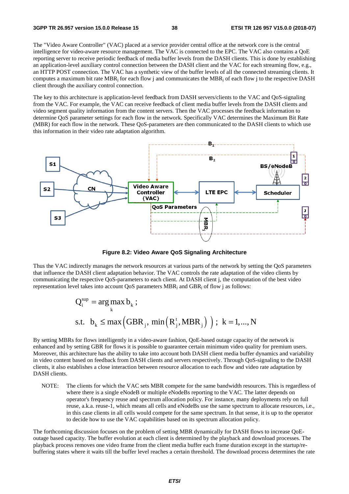The "Video Aware Controller" (VAC) placed at a service provider central office at the network core is the central intelligence for video-aware resource management. The VAC is connected to the EPC. The VAC also contains a QoE reporting server to receive periodic feedback of media buffer levels from the DASH clients. This is done by establishing an application-level auxiliary control connection between the DASH client and the VAC for each streaming flow, e.g., an HTTP POST connection. The VAC has a synthetic view of the buffer levels of all the connected streaming clients. It computes a maximum bit rate MBR<sub>i</sub> for each flow j and communicates the MBR<sub>i</sub> of each flow j to the respective DASH client through the auxiliary control connection.

The key to this architecture is application-level feedback from DASH servers/clients to the VAC and QoS-signaling from the VAC. For example, the VAC can receive feedback of client media buffer levels from the DASH clients and video segment quality information from the content servers. Then the VAC processes the feedback information to determine QoS parameter settings for each flow in the network. Specifically VAC determines the Maximum Bit Rate (MBR) for each flow in the network. These QoS-parameters are then communicated to the DASH clients to which use this information in their video rate adaptation algorithm.



**Figure 8.2: Video Aware QoS Signaling Architecture** 

Thus the VAC indirectly manages the network resources at various parts of the network by setting the QoS parameters that influence the DASH client adaptation behavior. The VAC controls the rate adaptation of the video clients by communicating the respective QoS-parameters to each client. At DASH client j, the computation of the best video representation level takes into account OoS parameters MBR<sub>i</sub> and GBR<sub>i</sub> of flow i as follows:

$$
Q_i^{sup} = \arg \max_{k} b_k ;
$$
  
s.t.  $b_k \le \max \left( GBR_j, \min \left( R_j^t, MBR_j \right) \right); k = 1,..., N$ 

By setting MBRs for flows intelligently in a video-aware fashion, QoE-based outage capacity of the network is enhanced and by setting GBR for flows it is possible to guarantee certain minimum video quality for premium users. Moreover, this architecture has the ability to take into account both DASH client media buffer dynamics and variability in video content based on feedback from DASH clients and servers respectively. Through QoS-signaling to the DASH clients, it also establishes a close interaction between resource allocation to each flow and video rate adaptation by DASH clients.

NOTE: The clients for which the VAC sets MBR compete for the same bandwidth resources. This is regardless of where there is a single eNodeB or multiple eNodeBs reporting to the VAC. The latter depends on operator's frequency reuse and spectrum allocation policy. For instance, many deployments rely on full reuse, a.k.a. reuse-1, which means all cells and eNodeBs use the same spectrum to allocate resources, i.e., in this case clients in all cells would compete for the same spectrum. In that sense, it is up to the operator to decide how to use the VAC capabilities based on its spectrum allocation policy.

The forthcoming discussion focuses on the problem of setting MBR dynamically for DASH flows to increase QoEoutage based capacity. The buffer evolution at each client is determined by the playback and download processes. The playback process removes one video frame from the client media buffer each frame duration except in the startup/rebuffering states where it waits till the buffer level reaches a certain threshold. The download process determines the rate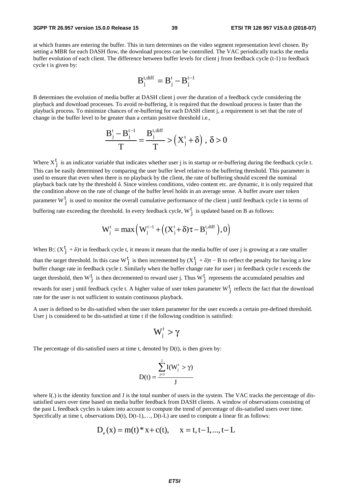at which frames are entering the buffer. This in turn determines on the video segment representation level chosen. By setting a MBR for each DASH flow, the download process can be controlled. The VAC periodically tracks the media buffer evolution of each client. The difference between buffer levels for client j from feedback cycle (t-1) to feedback cycle t is given by:

$$
B_j^{t, diff} = B_j^t - B_j^{t-1}
$$

B determines the evolution of media buffer at DASH client j over the duration of a feedback cycle considering the playback and download processes. To avoid re-buffering, it is required that the download process is faster than the playback process. To minimize chances of re-buffering for each DASH client j, a requirement is set that the rate of change in the buffer level to be greater than a certain positive threshold i.e.,

$$
\frac{B_j^t - B_j^{t-1}}{T} = \frac{B_j^{t,\text{diff}}}{T} > (X_j^t + \delta), \ \delta > 0
$$

Where  $X_j^t$  is an indicator variable that indicates whether user j is in startup or re-buffering during the feedback cycle t. This can be easily determined by comparing the user buffer level relative to the buffering threshold. This parameter is used to ensure that even when there is no playback by the client, the rate of buffering should exceed the nominal playback back rate by the threshold δ. Since wireless conditions, video content etc. are dynamic, it is only required that the condition above on the rate of change of the buffer level holds in an average sense. A buffer aware user token parameter  $W_j^t$  is used to monitor the overall cumulative performance of the client j until feedback cycle t in terms of buffering rate exceeding the threshold. In every feedback cycle,  $W_j^t$  is updated based on B as follows:

$$
W_j^t = \max\left(W_j^{t-1} + \left((X_j^t + \delta)\tau - B_j^{t,\text{diff}}\right), 0\right)
$$

When  $B \leq (X^t_j + \delta)\tau$  in feedback cycle t, it means it means that the media buffer of user j is growing at a rate smaller than the target threshold. In this case  $W_j^t$  is then incremented by  $(X_j^t + \delta)\tau - B$  to reflect the penalty for having a low buffer change rate in feedback cycle t. Similarly when the buffer change rate for user j in feedback cycle t exceeds the target threshold, then  $W_j^t$  is then decremented to reward user j. Thus  $W_j^t$  represents the accumulated penalties and rewards for user j until feedback cycle t. A higher value of user token parameter  $W_j^t$  reflects the fact that the download

rate for the user is not sufficient to sustain continuous playback.

A user is defined to be dis-satisfied when the user token parameter for the user exceeds a certain pre-defined threshold. User j is considered to be dis-satisfied at time t if the following condition is satisfied:

$$
W_j^t > \gamma
$$

The percentage of dis-satisfied users at time t, denoted by  $D(t)$ , is then given by:

$$
D(t) = \frac{\sum_{j=1}^{J} I(W_j^t > \gamma)}{J}
$$

where I(.) is the identity function and J is the total number of users in the system. The VAC tracks the percentage of dissatisfied users over time based on media buffer feedback from DASH clients. A window of observations consisting of the past L feedback cycles is taken into account to compute the trend of percentage of dis-satisfied users over time. Specifically at time t, observations  $D(t)$ ,  $D(t-1)$ ,...,  $D(t-L)$  are used to compute a linear fit as follows:

$$
D_e(x) = m(t) * x + c(t), \quad x = t, t-1, ..., t-L
$$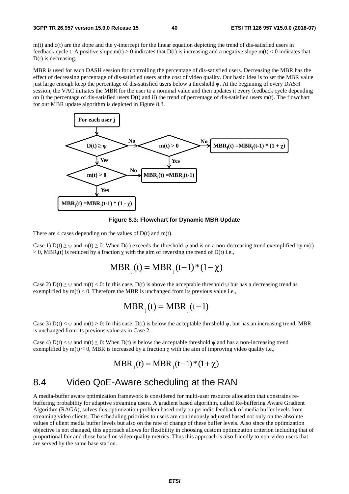$m(t)$  and  $c(t)$  are the slope and the y-intercept for the linear equation depicting the trend of dis-satisfied users in feedback cycle t. A positive slope  $m(t) > 0$  indicates that  $D(t)$  is increasing and a negative slope  $m(t) < 0$  indicates that D(t) is decreasing.

MBR is used for each DASH session for controlling the percentage of dis-satisfied users. Decreasing the MBR has the effect of decreasing percentage of dis-satisfied users at the cost of video quality. Our basic idea is to set the MBR value just large enough keep the percentage of dis-satisfied users below a threshold ψ. At the beginning of every DASH session, the VAC initiates the MBR for the user to a nominal value and then updates it every feedback cycle depending on i) the percentage of dis-satisfied users  $D(t)$  and ii) the trend of percentage of dis-satisfied users  $m(t)$ . The flowchart for our MBR update algorithm is depicted in Figure 8.3.



**Figure 8.3: Flowchart for Dynamic MBR Update** 

There are 4 cases depending on the values of  $D(t)$  and  $m(t)$ .

Case 1) D(t) > w and m(t) > 0: When D(t) exceeds the threshold w and is on a non-decreasing trend exemplified by m(t)  $\geq$  0, MBR<sub>i</sub>(t) is reduced by a fraction  $\chi$  with the aim of reversing the trend of D(t) i.e.,

$$
MBR_{j}(t) = MBR_{j}(t-1)*(1-\chi)
$$

Case 2)  $D(t) \geq \psi$  and  $m(t) < 0$ : In this case,  $D(t)$  is above the acceptable threshold  $\psi$  but has a decreasing trend as exemplified by  $m(t) < 0$ . Therefore the MBR is unchanged from its previous value i.e.,

$$
MBR_j(t) = MBR_j(t-1)
$$

Case 3)  $D(t) < \psi$  and  $m(t) > 0$ : In this case,  $D(t)$  is below the acceptable threshold  $\psi$ , but has an increasing trend. MBR is unchanged from its previous value as in Case 2.

Case 4) D(t)  $\langle \psi \rangle$  and m(t)  $\leq$  0: When D(t) is below the acceptable threshold  $\psi$  and has a non-increasing trend exemplified by m(t)  $\leq$  0, MBR is increased by a fraction  $\chi$  with the aim of improving video quality i.e.,

$$
MBR_{j}(t) = MBR_{j}(t-1) * (1 + \chi)
$$

### 8.4 Video QoE-Aware scheduling at the RAN

A media-buffer aware optimization framework is considered for multi-user resource allocation that constrains rebuffering probability for adaptive streaming users. A gradient based algorithm, called Re-buffering Aware Gradient Algorithm (RAGA), solves this optimization problem based only on periodic feedback of media buffer levels from streaming video clients. The scheduling priorities to users are continuously adjusted based not only on the absolute values of client media buffer levels but also on the rate of change of these buffer levels. Also since the optimization objective is not changed, this approach allows for flexibility in choosing custom optimization criterion including that of proportional fair and those based on video-quality metrics. Thus this approach is also friendly to non-video users that are served by the same base station.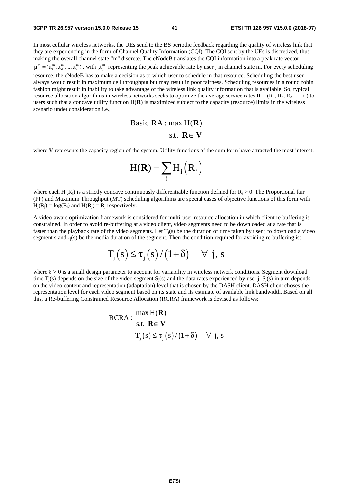In most cellular wireless networks, the UEs send to the BS periodic feedback regarding the quality of wireless link that they are experiencing in the form of Channel Quality Information (CQI). The CQI sent by the UEs is discretized, thus making the overall channel state "m" discrete. The eNodeB translates the CQI information into a peak rate vector mm m  $\mu^m = (\mu_1^m, \mu_2^m, \ldots, \mu_i^m)$ , with  $\mu_i^m$  representing the peak achievable rate by user j in channel state m. For every scheduling resource, the eNodeB has to make a decision as to which user to schedule in that resource. Scheduling the best user always would result in maximum cell throughput but may result in poor fairness. Scheduling resources in a round robin fashion might result in inability to take advantage of the wireless link quality information that is available. So, typical resource allocation algorithms in wireless networks seeks to optimize the average service rates  $\mathbf{R} = (\mathbf{R}_1, \mathbf{R}_2, \mathbf{R}_3, \dots, \mathbf{R}_1)$  to users such that a concave utility function H(**R**) is maximized subject to the capacity (resource) limits in the wireless scenario under consideration i.e.,

Basic RA : max H(
$$
\mathbf{R}
$$
)  
s.t.  $\mathbf{R} \in \mathbf{V}$ 

where **V** represents the capacity region of the system. Utility functions of the sum form have attracted the most interest:

$$
H(\mathbf{R}) = \sum_{j} H_{j} (R_{j})
$$

where each  $H_i(R_i)$  is a strictly concave continuously differentiable function defined for  $R_i > 0$ . The Proportional fair (PF) and Maximum Throughput (MT) scheduling algorithms are special cases of objective functions of this form with  $H_i(R_i) = log(R_i)$  and  $H(R_i) = R_i$  respectively.

A video-aware optimization framework is considered for multi-user resource allocation in which client re-buffering is constrained. In order to avoid re-buffering at a video client, video segments need to be downloaded at a rate that is faster than the playback rate of the video segments. Let  $T_j(s)$  be the duration of time taken by user j to download a video segment s and  $\tau_i(s)$  be the media duration of the segment. Then the condition required for avoiding re-buffering is:

$$
T_j(s) \le \tau_j(s) / (1 + \delta) \quad \forall \ j, s
$$

where  $\delta > 0$  is a small design parameter to account for variability in wireless network conditions. Segment download time  $T_i(s)$  depends on the size of the video segment  $S_i(s)$  and the data rates experienced by user j.  $S_i(s)$  in turn depends on the video content and representation (adaptation) level that is chosen by the DASH client. DASH client choses the representation level for each video segment based on its state and its estimate of available link bandwidth. Based on all this, a Re-buffering Constrained Resource Allocation (RCRA) framework is devised as follows:

$$
RCRA: \frac{\max H(R)}{\text{s.t. } R \in V}
$$

$$
T_{j}(s) \leq \tau_{j}(s) / (1+\delta) \quad \forall j, s
$$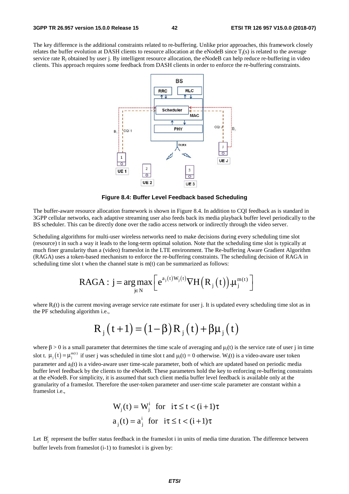The key difference is the additional constraints related to re-buffering. Unlike prior approaches, this framework closely relates the buffer evolution at DASH clients to resource allocation at the eNodeB since  $T_i(s)$  is related to the average service rate  $R_i$  obtained by user j. By intelligent resource allocation, the eNodeB can help reduce re-buffering in video clients. This approach requires some feedback from DASH clients in order to enforce the re-buffering constraints.



**Figure 8.4: Buffer Level Feedback based Scheduling** 

The buffer-aware resource allocation framework is shown in Figure 8.4. In addition to CQI feedback as is standard in 3GPP cellular networks, each adaptive streaming user also feeds back its media playback buffer level periodically to the BS scheduler. This can be directly done over the radio access network or indirectly through the video server.

Scheduling algorithms for multi-user wireless networks need to make decisions during every scheduling time slot (resource) t in such a way it leads to the long-term optimal solution. Note that the scheduling time slot is typically at much finer granularity than a (video) frameslot in the LTE environment. The Re-buffering Aware Gradient Algorithm (RAGA) uses a token-based mechanism to enforce the re-buffering constraints. The scheduling decision of RAGA in scheduling time slot t when the channel state is m(t) can be summarized as follows:

$$
\text{RAGA}: j = \underset{j \in N}{\arg \max} \left[ e^{a_j(t)W_j(t)} \nabla H\left(R_j\left(t\right)\right) . \mu_j^{m(t)} \right]
$$

where  $R_i(t)$  is the current moving average service rate estimate for user j. It is updated every scheduling time slot as in the PF scheduling algorithm i.e.,

$$
R_{j}(t+1) = (1 - \beta) R_{j}(t) + \beta \mu_{j}(t)
$$

where  $\beta > 0$  is a small parameter that determines the time scale of averaging and  $\mu_j(t)$  is the service rate of user j in time slot t.  $\mu_j(t) = \mu_j^{m(t)}$  if user j was scheduled in time slot t and  $\mu_j(t) = 0$  otherwise. W<sub>j</sub>(t) is a video-aware user token parameter and aj(t) is a video-aware user time-scale parameter, both of which are updated based on periodic media buffer level feedback by the clients to the eNodeB. These parameters hold the key to enforcing re-buffering constraints at the eNodeB. For simplicity, it is assumed that such client media buffer level feedback is available only at the granularity of a frameslot. Therefore the user-token parameter and user-time scale parameter are constant within a frameslot i.e.,

$$
W_j(t) = W_j^i \text{ for } i\tau \le t < (i+1)\tau
$$
  

$$
a_j(t) = a_j^i \text{ for } i\tau \le t < (i+1)\tau
$$

Let  $B_i^i$  represent the buffer status feedback in the frameslot i in units of media time duration. The difference between buffer levels from frameslot (i-1) to frameslot i is given by: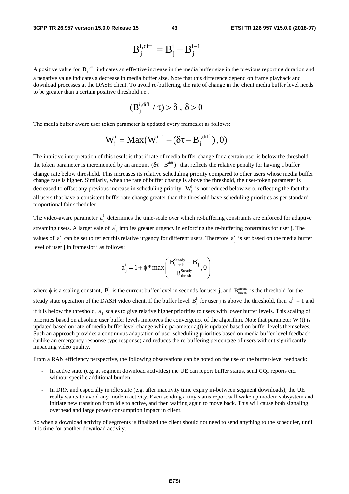$$
B_j^{i,diff} = B_j^i - B_j^{i-1}
$$

A positive value for  $B_i^{i,diff}$  indicates an effective increase in the media buffer size in the previous reporting duration and a negative value indicates a decrease in media buffer size. Note that this difference depend on frame playback and download processes at the DASH client. To avoid re-buffering, the rate of change in the client media buffer level needs to be greater than a certain positive threshold i.e.,

$$
(B_j^{i,\text{diff}} \ / \tau) > \delta \ , \ \delta > 0
$$

The media buffer aware user token parameter is updated every frameslot as follows:

$$
W_j^i = Max(W_j^{i-1} + (\delta \tau - B_j^{i, diff}), 0)
$$

The intuitive interpretation of this result is that if rate of media buffer change for a certain user is below the threshold, the token parameter is incremented by an amount  $(\delta \tau - B_j^{\text{diff}})$  that reflects the relative penalty for having a buffer change rate below threshold. This increases its relative scheduling priority compared to other users whose media buffer change rate is higher. Similarly, when the rate of buffer change is above the threshold, the user-token parameter is decreased to offset any previous increase in scheduling priority.  $W_i^i$  is not reduced below zero, reflecting the fact that all users that have a consistent buffer rate change greater than the threshold have scheduling priorities as per standard proportional fair scheduler.

The video-aware parameter  $a_j^i$  determines the time-scale over which re-buffering constraints are enforced for adaptive streaming users. A larger vale of  $a_j^i$  implies greater urgency in enforcing the re-buffering constraints for user j. The values of  $a_j^i$  can be set to reflect this relative urgency for different users. Therefore  $a_j^i$  is set based on the media buffer level of user j in frameslot i as follows:

$$
a_j^i = 1 + \phi * \max\left(\frac{B_{\text{thresh}}^{\text{Steady}} - B_j^i}{B_{\text{thresh}}^{\text{Steady}}}, 0\right)
$$

where  $\phi$  is a scaling constant,  $B_j^i$  is the current buffer level in seconds for user j, and  $B_{\text{thresh}}^{\text{Steady}}$  is the threshold for the steady state operation of the DASH video client. If the buffer level  $B_j^i$  for user j is above the threshold, then  $a_j^i = 1$  and if it is below the threshold,  $a_j^i$  scales to give relative higher priorities to users with lower buffer levels. This scaling of priorities based on absolute user buffer levels improves the convergence of the algorithm. Note that parameter  $W_i(t)$  is updated based on rate of media buffer level change while parameter  $a_i(t)$  is updated based on buffer levels themselves. Such an approach provides a continuous adaptation of user scheduling priorities based on media buffer level feedback (unlike an emergency response type response) and reduces the re-buffering percentage of users without significantly impacting video quality.

From a RAN efficiency perspective, the following observations can be noted on the use of the buffer-level feedback:

- In active state (e.g. at segment download activities) the UE can report buffer status, send CQI reports etc. without specific additional burden.
- In DRX and especially in idle state (e.g. after inactivity time expiry in-between segment downloads), the UE really wants to avoid any modem activity. Even sending a tiny status report will wake up modem subsystem and initiate new transition from idle to active, and then waiting again to move back. This will cause both signaling overhead and large power consumption impact in client.

So when a download activity of segments is finalized the client should not need to send anything to the scheduler, until it is time for another download activity.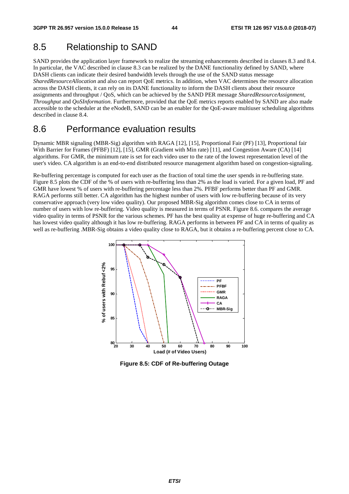### 8.5 Relationship to SAND

SAND provides the application layer framework to realize the streaming enhancements described in clauses 8.3 and 8.4. In particular, the VAC described in clause 8.3 can be realized by the DANE functionality defined by SAND, where DASH clients can indicate their desired bandwidth levels through the use of the SAND status message *SharedResourceAllocation* and also can report QoE metrics. In addition, when VAC determines the resource allocation across the DASH clients, it can rely on its DANE functionality to inform the DASH clients about their resource assignments and throughput / QoS, which can be achieved by the SAND PER message *SharedResourceAssignment*, *Throughput* and *QoSInformation*. Furthermore, provided that the QoE metrics reports enabled by SAND are also made accessible to the scheduler at the eNodeB, SAND can be an enabler for the QoE-aware multiuser scheduling algorithms described in clause 8.4.

### 8.6 Performance evaluation results

Dynamic MBR signaling (MBR-Sig) algorithm with RAGA [12], [15], Proportional Fair (PF) [13], Proportional fair With Barrier for Frames (PFBF) [12], [15], GMR (Gradient with Min rate) [11], and Congestion Aware (CA) [14] algorithms. For GMR, the minimum rate is set for each video user to the rate of the lowest representation level of the user's video. CA algorithm is an end-to-end distributed resource management algorithm based on congestion-signaling.

Re-buffering percentage is computed for each user as the fraction of total time the user spends in re-buffering state. Figure 8.5 plots the CDF of the % of users with re-buffering less than 2% as the load is varied. For a given load, PF and GMR have lowest % of users with re-buffering percentage less than 2%. PFBF performs better than PF and GMR. RAGA performs still better. CA algorithm has the highest number of users with low re-buffering because of its very conservative approach (very low video quality). Our proposed MBR-Sig algorithm comes close to CA in terms of number of users with low re-buffering. Video quality is measured in terms of PSNR. Figure 8.6. compares the average video quality in terms of PSNR for the various schemes. PF has the best quality at expense of huge re-buffering and CA has lowest video quality although it has low re-buffering. RAGA performs in between PF and CA in terms of quality as well as re-buffering .MBR-Sig obtains a video quality close to RAGA, but it obtains a re-buffering percent close to CA.



**Figure 8.5: CDF of Re-buffering Outage**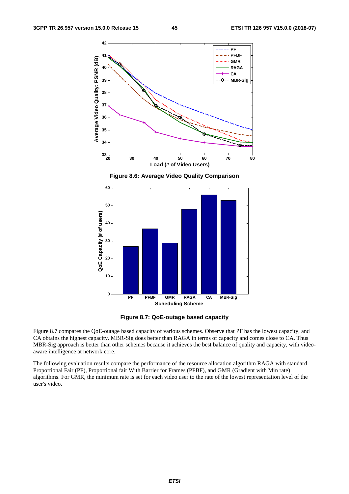

**Figure 8.6: Average Video Quality Comparison** 



**Figure 8.7: QoE-outage based capacity** 

Figure 8.7 compares the QoE-outage based capacity of various schemes. Observe that PF has the lowest capacity, and CA obtains the highest capacity. MBR-Sig does better than RAGA in terms of capacity and comes close to CA. Thus MBR-Sig approach is better than other schemes because it achieves the best balance of quality and capacity, with videoaware intelligence at network core.

The following evaluation results compare the performance of the resource allocation algorithm RAGA with standard Proportional Fair (PF), Proportional fair With Barrier for Frames (PFBF), and GMR (Gradient with Min rate) algorithms. For GMR, the minimum rate is set for each video user to the rate of the lowest representation level of the user's video.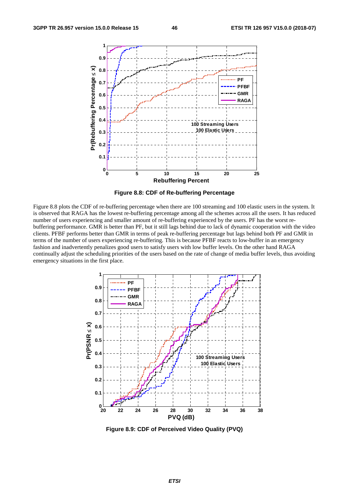

**Figure 8.8: CDF of Re-buffering Percentage** 

Figure 8.8 plots the CDF of re-buffering percentage when there are 100 streaming and 100 elastic users in the system. It is observed that RAGA has the lowest re-buffering percentage among all the schemes across all the users. It has reduced number of users experiencing and smaller amount of re-buffering experienced by the users. PF has the worst rebuffering performance. GMR is better than PF, but it still lags behind due to lack of dynamic cooperation with the video clients. PFBF performs better than GMR in terms of peak re-buffering percentage but lags behind both PF and GMR in terms of the number of users experiencing re-buffering. This is because PFBF reacts to low-buffer in an emergency fashion and inadvertently penalizes good users to satisfy users with low buffer levels. On the other hand RAGA continually adjust the scheduling priorities of the users based on the rate of change of media buffer levels, thus avoiding emergency situations in the first place.



**Figure 8.9: CDF of Perceived Video Quality (PVQ)**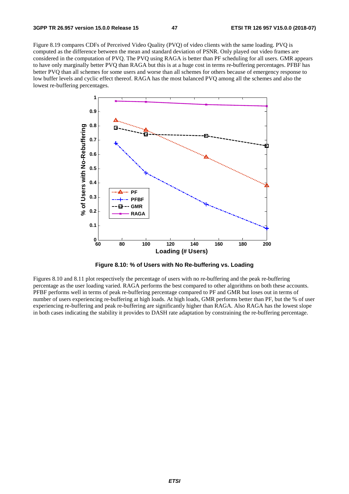Figure 8.19 compares CDFs of Perceived Video Quality (PVQ) of video clients with the same loading. PVQ is computed as the difference between the mean and standard deviation of PSNR. Only played out video frames are considered in the computation of PVQ. The PVQ using RAGA is better than PF scheduling for all users. GMR appears to have only marginally better PVQ than RAGA but this is at a huge cost in terms re-buffering percentages. PFBF has better PVQ than all schemes for some users and worse than all schemes for others because of emergency response to low buffer levels and cyclic effect thereof. RAGA has the most balanced PVQ among all the schemes and also the lowest re-buffering percentages.



**Figure 8.10: % of Users with No Re-buffering vs. Loading** 

Figures 8.10 and 8.11 plot respectively the percentage of users with no re-buffering and the peak re-buffering percentage as the user loading varied. RAGA performs the best compared to other algorithms on both these accounts. PFBF performs well in terms of peak re-buffering percentage compared to PF and GMR but loses out in terms of number of users experiencing re-buffering at high loads. At high loads, GMR performs better than PF, but the % of user experiencing re-buffering and peak re-buffering are significantly higher than RAGA. Also RAGA has the lowest slope in both cases indicating the stability it provides to DASH rate adaptation by constraining the re-buffering percentage.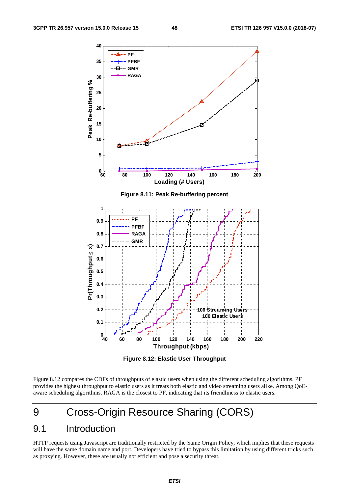

**Figure 8.12: Elastic User Throughput** 

Figure 8.12 compares the CDFs of throughputs of elastic users when using the different scheduling algorithms. PF provides the highest throughput to elastic users as it treats both elastic and video streaming users alike. Among QoEaware scheduling algorithms, RAGA is the closest to PF, indicating that its friendliness to elastic users.

## 9 Cross-Origin Resource Sharing (CORS)

### 9.1 Introduction

HTTP requests using Javascript are traditionally restricted by the Same Origin Policy, which implies that these requests will have the same domain name and port. Developers have tried to bypass this limitation by using different tricks such as proxying. However, these are usually not efficient and pose a security threat.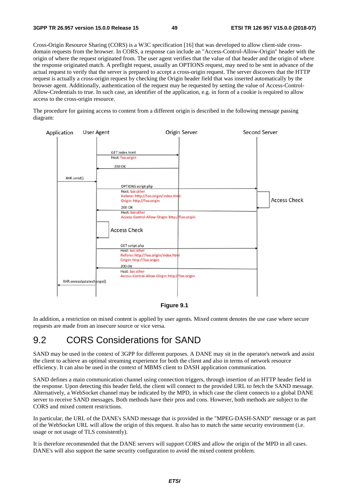Cross-Origin Resource Sharing (CORS) is a W3C specification [16] that was developed to allow client-side crossdomain requests from the browser. In CORS, a response can include an "Access-Control-Allow-Origin" header with the origin of where the request originated from. The user agent verifies that the value of that header and the origin of where the response originated match. A preflight request, usually an OPTIONS request, may need to be sent in advance of the actual request to verify that the server is prepared to accept a cross-origin request. The server discovers that the HTTP request is actually a cross-origin request by checking the Origin header field that was inserted automatically by the browser agent. Additionally, authentication of the request may be requested by setting the value of Access-Control-Allow-Credentials to true. In such case, an identifier of the application, e.g. in form of a cookie is required to allow access to the cross-origin resource.

The procedure for gaining access to content from a different origin is described in the following message passing diagram:



#### **Figure 9.1**

In addition, a restriction on mixed content is applied by user agents. Mixed content denotes the use case where secure requests are made from an insecure source or vice versa.

### 9.2 CORS Considerations for SAND

SAND may be used in the context of 3GPP for different purposes. A DANE may sit in the operator's network and assist the client to achieve an optimal streaming experience for both the client and also in terms of network resource efficiency. It can also be used in the context of MBMS client to DASH application communication.

SAND defines a main communication channel using connection triggers, through insertion of an HTTP header field in the response. Upon detecting this header field, the client will connect to the provided URL to fetch the SAND message. Alternatively, a WebSocket channel may be indicated by the MPD, in which case the client connects to a global DANE server to receive SAND messages. Both methods have their pros and cons. However, both methods are subject to the CORS and mixed content restrictions.

In particular, the URL of the DANE's SAND message that is provided in the "MPEG-DASH-SAND" message or as part of the WebSocket URL will allow the origin of this request. It also has to match the same security environment (i.e. usage or not usage of TLS consistently).

It is therefore recommended that the DANE servers will support CORS and allow the origin of the MPD in all cases. DANE's will also support the same security configuration to avoid the mixed content problem.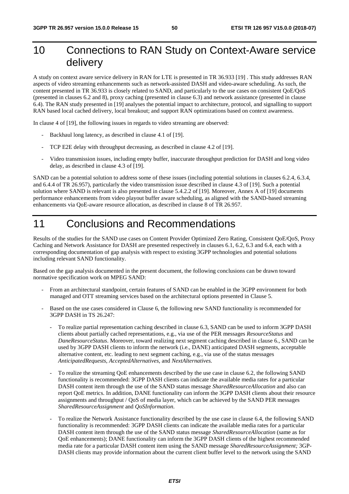## 10 Connections to RAN Study on Context-Aware service delivery

A study on context aware service delivery in RAN for LTE is presented in TR 36.933 [19] . This study addresses RAN aspects of video streaming enhancements such as network-assisted DASH and video-aware scheduling. As such, the content presented in TR 36.933 is closely related to SAND, and particularly to the use cases on consistent QoE/QoS (presented in clauses 6.2 and 8), proxy caching (presented in clause 6.3) and network assistance (presented in clause 6.4). The RAN study presented in [19] analyses the potential impact to architecture, protocol, and signalling to support RAN based local cached delivery, local breakout; and support RAN optimizations based on context awareness.

In clause 4 of [19], the following issues in regards to video streaming are observed:

- Backhaul long latency, as described in clause 4.1 of [19].
- TCP E2E delay with throughput decreasing, as described in clause 4.2 of [19].
- Video transmission issues, including empty buffer, inaccurate throughput prediction for DASH and long video delay, as described in clause 4.3 of [19].

SAND can be a potential solution to address some of these issues (including potential solutions in clauses 6.2.4, 6.3.4, and 6.4.4 of TR 26.957), particularly the video transmission issue described in clause 4.3 of [19]. Such a potential solution where SAND is relevant is also presented in clause 5.4.2.2 of [19]. Moreover, Annex A of [19] documents performance enhancements from video playout buffer aware scheduling, as aligned with the SAND-based streaming enhancements via QoE-aware resource allocation, as described in clause 8 of TR 26.957.

## 11 Conclusions and Recommendations

Results of the studies for the SAND use cases on Content Provider Optimized Zero Rating, Consistent QoE/QoS, Proxy Caching and Network Assistance for DASH are presented respectively in clauses 6.1, 6.2, 6.3 and 6.4, each with a corresponding documentation of gap analysis with respect to existing 3GPP technologies and potential solutions including relevant SAND functionality.

Based on the gap analysis documented in the present document, the following conclusions can be drawn toward normative specification work on MPEG SAND:

- From an architectural standpoint, certain features of SAND can be enabled in the 3GPP environment for both managed and OTT streaming services based on the architectural options presented in Clause 5.
- Based on the use cases considered in Clause 6, the following new SAND functionality is recommended for 3GPP DASH in TS 26.247:
	- To realize partial representation caching described in clause 6.3, SAND can be used to inform 3GPP DASH clients about partially cached representations, e.g., via use of the PER messages *ResourceStatus* and *DaneResourceStatus*. Moreover, toward realizing next segment caching described in clause 6., SAND can be used by 3GPP DASH clients to inform the network (i.e., DANE) anticipated DASH segments, acceptable alternative content, etc. leading to next segment caching, e.g., via use of the status messages *AnticipatedRequests*, *AcceptedAlternatives*, and *NextAlternatives.*
	- To realize the streaming QoE enhancements described by the use case in clause 6.2, the following SAND functionality is recommended: 3GPP DASH clients can indicate the available media rates for a particular DASH content item through the use of the SAND status message *SharedResourceAllocation* and also can report QoE metrics. In addition, DANE functionality can inform the 3GPP DASH clients about their resource assignments and throughput / QoS of media layer, which can be achieved by the SAND PER messages *SharedResourceAssignment* and *QoSInformation*.
	- To realize the Network Assistance functionality described by the use case in clause 6.4, the following SAND functionality is recommended: 3GPP DASH clients can indicate the available media rates for a particular DASH content item through the use of the SAND status message *SharedResourceAllocation* (same as for QoE enhancements); DANE functionality can inform the 3GPP DASH clients of the highest recommended media rate for a particular DASH content item using the SAND message *SharedResourceAssignment;* 3GP-DASH clients may provide information about the current client buffer level to the network using the SAND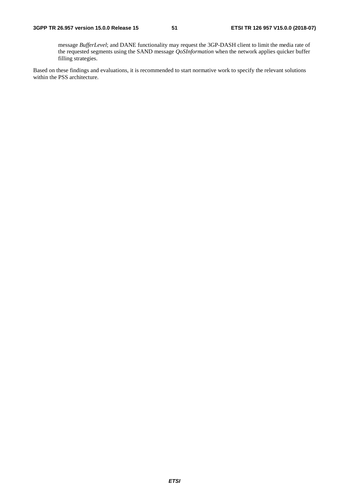message *BufferLevel*; and DANE functionality may request the 3GP-DASH client to limit the media rate of the requested segments using the SAND message *QoSInformation* when the network applies quicker buffer filling strategies.

Based on these findings and evaluations, it is recommended to start normative work to specify the relevant solutions within the PSS architecture.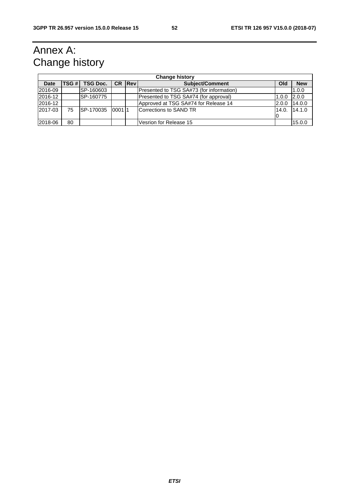## Annex A: Change history

|                | <b>Change history</b> |                  |       |        |                                          |       |            |
|----------------|-----------------------|------------------|-------|--------|------------------------------------------|-------|------------|
| <b>Date</b>    | TSG #                 | <b>TSG Doc.</b>  |       | CR Rev | <b>Subject/Comment</b>                   | Old   | <b>New</b> |
| 2016-09        |                       | SP-160603        |       |        | Presented to TSG SA#73 (for information) |       | 1.0.0      |
| 2016-12        |                       | SP-160775        |       |        | Presented to TSG SA#74 (for approval)    | 1.0.0 | 2.0.0      |
| <b>2016-12</b> |                       |                  |       |        | Approved at TSG SA#74 for Release 14     | 2.0.0 | 14.0.0     |
| 2017-03        | 75                    | <b>SP-170035</b> | 00011 |        | <b>Corrections to SAND TR</b>            | 14.0. | 14.1.0     |
|                |                       |                  |       |        |                                          |       |            |
| 2018-06        | 80                    |                  |       |        | Vesrion for Release 15                   |       | 15.0.0     |